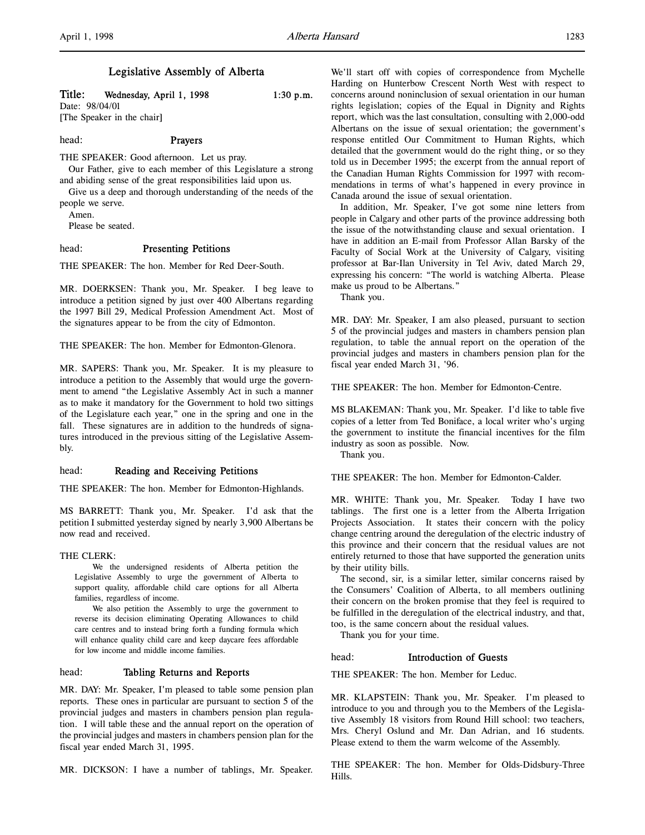# Legislative Assembly of Alberta

Title: Wednesday, April 1, 1998 1:30 p.m.

Date: 98/04/01 [The Speaker in the chair]

# head: Prayers

THE SPEAKER: Good afternoon. Let us pray.

Our Father, give to each member of this Legislature a strong and abiding sense of the great responsibilities laid upon us.

Give us a deep and thorough understanding of the needs of the people we serve.

Amen.

Please be seated.

# head: Presenting Petitions

THE SPEAKER: The hon. Member for Red Deer-South.

MR. DOERKSEN: Thank you, Mr. Speaker. I beg leave to introduce a petition signed by just over 400 Albertans regarding the 1997 Bill 29, Medical Profession Amendment Act. Most of the signatures appear to be from the city of Edmonton.

THE SPEAKER: The hon. Member for Edmonton-Glenora.

MR. SAPERS: Thank you, Mr. Speaker. It is my pleasure to introduce a petition to the Assembly that would urge the government to amend "the Legislative Assembly Act in such a manner as to make it mandatory for the Government to hold two sittings of the Legislature each year," one in the spring and one in the fall. These signatures are in addition to the hundreds of signatures introduced in the previous sitting of the Legislative Assembly.

# head: Reading and Receiving Petitions

THE SPEAKER: The hon. Member for Edmonton-Highlands.

MS BARRETT: Thank you, Mr. Speaker. I'd ask that the petition I submitted yesterday signed by nearly 3,900 Albertans be now read and received.

#### THE CLERK:

We the undersigned residents of Alberta petition the Legislative Assembly to urge the government of Alberta to support quality, affordable child care options for all Alberta families, regardless of income.

We also petition the Assembly to urge the government to reverse its decision eliminating Operating Allowances to child care centres and to instead bring forth a funding formula which will enhance quality child care and keep daycare fees affordable for low income and middle income families.

# head: Tabling Returns and Reports

MR. DAY: Mr. Speaker, I'm pleased to table some pension plan reports. These ones in particular are pursuant to section 5 of the provincial judges and masters in chambers pension plan regulation. I will table these and the annual report on the operation of the provincial judges and masters in chambers pension plan for the fiscal year ended March 31, 1995.

MR. DICKSON: I have a number of tablings, Mr. Speaker.

We'll start off with copies of correspondence from Mychelle Harding on Hunterbow Crescent North West with respect to concerns around noninclusion of sexual orientation in our human rights legislation; copies of the Equal in Dignity and Rights report, which was the last consultation, consulting with 2,000-odd Albertans on the issue of sexual orientation; the government's response entitled Our Commitment to Human Rights, which detailed that the government would do the right thing, or so they told us in December 1995; the excerpt from the annual report of the Canadian Human Rights Commission for 1997 with recommendations in terms of what's happened in every province in Canada around the issue of sexual orientation.

In addition, Mr. Speaker, I've got some nine letters from people in Calgary and other parts of the province addressing both the issue of the notwithstanding clause and sexual orientation. I have in addition an E-mail from Professor Allan Barsky of the Faculty of Social Work at the University of Calgary, visiting professor at Bar-Ilan University in Tel Aviv, dated March 29, expressing his concern: "The world is watching Alberta. Please make us proud to be Albertans."

Thank you.

MR. DAY: Mr. Speaker, I am also pleased, pursuant to section 5 of the provincial judges and masters in chambers pension plan regulation, to table the annual report on the operation of the provincial judges and masters in chambers pension plan for the fiscal year ended March 31, '96.

THE SPEAKER: The hon. Member for Edmonton-Centre.

MS BLAKEMAN: Thank you, Mr. Speaker. I'd like to table five copies of a letter from Ted Boniface, a local writer who's urging the government to institute the financial incentives for the film industry as soon as possible. Now.

Thank you.

THE SPEAKER: The hon. Member for Edmonton-Calder.

MR. WHITE: Thank you, Mr. Speaker. Today I have two tablings. The first one is a letter from the Alberta Irrigation Projects Association. It states their concern with the policy change centring around the deregulation of the electric industry of this province and their concern that the residual values are not entirely returned to those that have supported the generation units by their utility bills.

The second, sir, is a similar letter, similar concerns raised by the Consumers' Coalition of Alberta, to all members outlining their concern on the broken promise that they feel is required to be fulfilled in the deregulation of the electrical industry, and that, too, is the same concern about the residual values.

Thank you for your time.

# head: Introduction of Guests

THE SPEAKER: The hon. Member for Leduc.

MR. KLAPSTEIN: Thank you, Mr. Speaker. I'm pleased to introduce to you and through you to the Members of the Legislative Assembly 18 visitors from Round Hill school: two teachers, Mrs. Cheryl Oslund and Mr. Dan Adrian, and 16 students. Please extend to them the warm welcome of the Assembly.

THE SPEAKER: The hon. Member for Olds-Didsbury-Three Hills.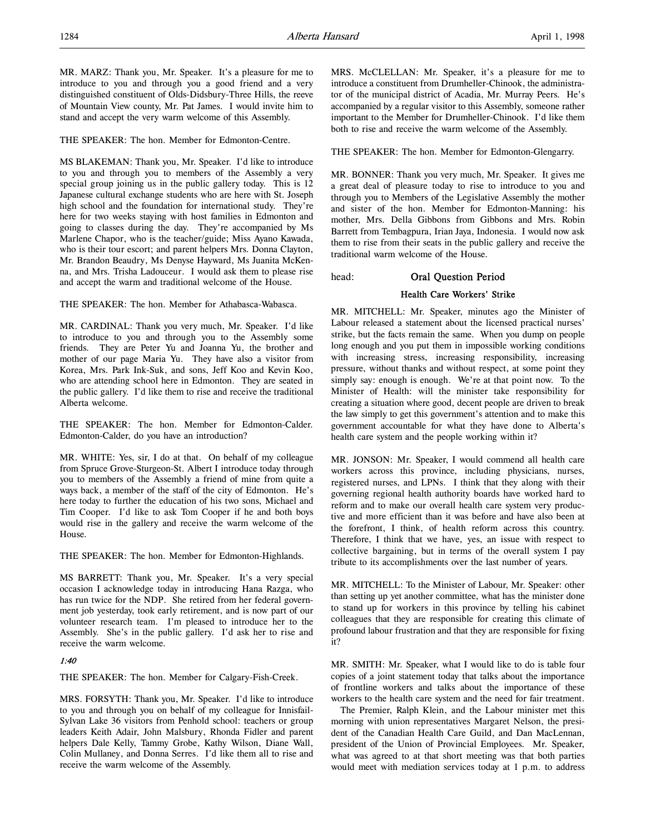MR. MARZ: Thank you, Mr. Speaker. It's a pleasure for me to introduce to you and through you a good friend and a very distinguished constituent of Olds-Didsbury-Three Hills, the reeve of Mountain View county, Mr. Pat James. I would invite him to stand and accept the very warm welcome of this Assembly.

THE SPEAKER: The hon. Member for Edmonton-Centre.

MS BLAKEMAN: Thank you, Mr. Speaker. I'd like to introduce to you and through you to members of the Assembly a very special group joining us in the public gallery today. This is 12 Japanese cultural exchange students who are here with St. Joseph high school and the foundation for international study. They're here for two weeks staying with host families in Edmonton and going to classes during the day. They're accompanied by Ms Marlene Chapor, who is the teacher/guide; Miss Ayano Kawada, who is their tour escort; and parent helpers Mrs. Donna Clayton, Mr. Brandon Beaudry, Ms Denyse Hayward, Ms Juanita McKenna, and Mrs. Trisha Ladouceur. I would ask them to please rise and accept the warm and traditional welcome of the House.

THE SPEAKER: The hon. Member for Athabasca-Wabasca.

MR. CARDINAL: Thank you very much, Mr. Speaker. I'd like to introduce to you and through you to the Assembly some friends. They are Peter Yu and Joanna Yu, the brother and mother of our page Maria Yu. They have also a visitor from Korea, Mrs. Park Ink-Suk, and sons, Jeff Koo and Kevin Koo, who are attending school here in Edmonton. They are seated in the public gallery. I'd like them to rise and receive the traditional Alberta welcome.

THE SPEAKER: The hon. Member for Edmonton-Calder. Edmonton-Calder, do you have an introduction?

MR. WHITE: Yes, sir, I do at that. On behalf of my colleague from Spruce Grove-Sturgeon-St. Albert I introduce today through you to members of the Assembly a friend of mine from quite a ways back, a member of the staff of the city of Edmonton. He's here today to further the education of his two sons, Michael and Tim Cooper. I'd like to ask Tom Cooper if he and both boys would rise in the gallery and receive the warm welcome of the House.

THE SPEAKER: The hon. Member for Edmonton-Highlands.

MS BARRETT: Thank you, Mr. Speaker. It's a very special occasion I acknowledge today in introducing Hana Razga, who has run twice for the NDP. She retired from her federal government job yesterday, took early retirement, and is now part of our volunteer research team. I'm pleased to introduce her to the Assembly. She's in the public gallery. I'd ask her to rise and receive the warm welcome.

# 1:40

THE SPEAKER: The hon. Member for Calgary-Fish-Creek.

MRS. FORSYTH: Thank you, Mr. Speaker. I'd like to introduce to you and through you on behalf of my colleague for Innisfail-Sylvan Lake 36 visitors from Penhold school: teachers or group leaders Keith Adair, John Malsbury, Rhonda Fidler and parent helpers Dale Kelly, Tammy Grobe, Kathy Wilson, Diane Wall, Colin Mullaney, and Donna Serres. I'd like them all to rise and receive the warm welcome of the Assembly.

MRS. McCLELLAN: Mr. Speaker, it's a pleasure for me to introduce a constituent from Drumheller-Chinook, the administrator of the municipal district of Acadia, Mr. Murray Peers. He's accompanied by a regular visitor to this Assembly, someone rather important to the Member for Drumheller-Chinook. I'd like them both to rise and receive the warm welcome of the Assembly.

THE SPEAKER: The hon. Member for Edmonton-Glengarry.

MR. BONNER: Thank you very much, Mr. Speaker. It gives me a great deal of pleasure today to rise to introduce to you and through you to Members of the Legislative Assembly the mother and sister of the hon. Member for Edmonton-Manning: his mother, Mrs. Della Gibbons from Gibbons and Mrs. Robin Barrett from Tembagpura, Irian Jaya, Indonesia. I would now ask them to rise from their seats in the public gallery and receive the traditional warm welcome of the House.

head: Oral Question Period

# Health Care Workers' Strike

MR. MITCHELL: Mr. Speaker, minutes ago the Minister of Labour released a statement about the licensed practical nurses' strike, but the facts remain the same. When you dump on people long enough and you put them in impossible working conditions with increasing stress, increasing responsibility, increasing pressure, without thanks and without respect, at some point they simply say: enough is enough. We're at that point now. To the Minister of Health: will the minister take responsibility for creating a situation where good, decent people are driven to break the law simply to get this government's attention and to make this government accountable for what they have done to Alberta's health care system and the people working within it?

MR. JONSON: Mr. Speaker, I would commend all health care workers across this province, including physicians, nurses, registered nurses, and LPNs. I think that they along with their governing regional health authority boards have worked hard to reform and to make our overall health care system very productive and more efficient than it was before and have also been at the forefront, I think, of health reform across this country. Therefore, I think that we have, yes, an issue with respect to collective bargaining, but in terms of the overall system I pay tribute to its accomplishments over the last number of years.

MR. MITCHELL: To the Minister of Labour, Mr. Speaker: other than setting up yet another committee, what has the minister done to stand up for workers in this province by telling his cabinet colleagues that they are responsible for creating this climate of profound labour frustration and that they are responsible for fixing it?

MR. SMITH: Mr. Speaker, what I would like to do is table four copies of a joint statement today that talks about the importance of frontline workers and talks about the importance of these workers to the health care system and the need for fair treatment.

The Premier, Ralph Klein, and the Labour minister met this morning with union representatives Margaret Nelson, the president of the Canadian Health Care Guild, and Dan MacLennan, president of the Union of Provincial Employees. Mr. Speaker, what was agreed to at that short meeting was that both parties would meet with mediation services today at 1 p.m. to address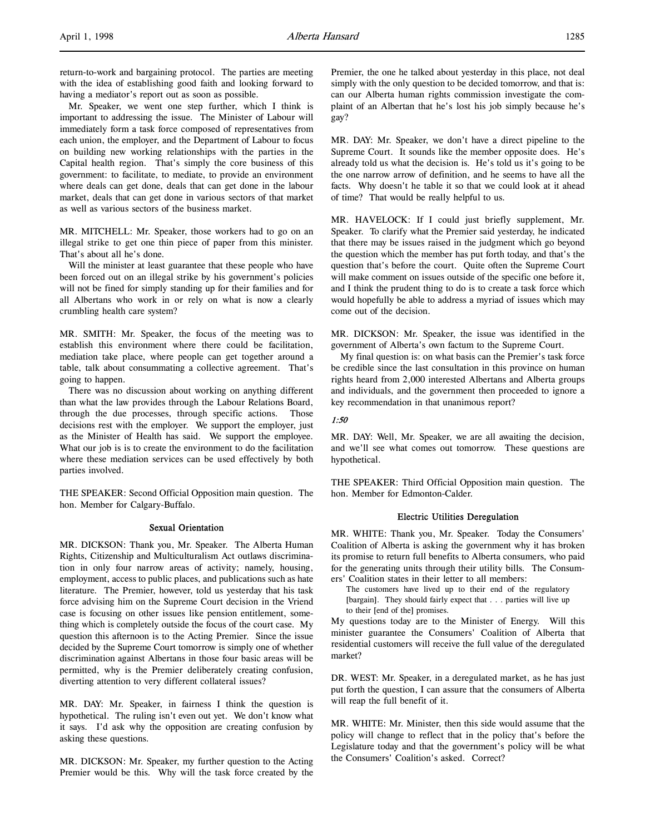return-to-work and bargaining protocol. The parties are meeting with the idea of establishing good faith and looking forward to having a mediator's report out as soon as possible.

Mr. Speaker, we went one step further, which I think is important to addressing the issue. The Minister of Labour will immediately form a task force composed of representatives from each union, the employer, and the Department of Labour to focus on building new working relationships with the parties in the Capital health region. That's simply the core business of this government: to facilitate, to mediate, to provide an environment where deals can get done, deals that can get done in the labour market, deals that can get done in various sectors of that market as well as various sectors of the business market.

MR. MITCHELL: Mr. Speaker, those workers had to go on an illegal strike to get one thin piece of paper from this minister. That's about all he's done.

Will the minister at least guarantee that these people who have been forced out on an illegal strike by his government's policies will not be fined for simply standing up for their families and for all Albertans who work in or rely on what is now a clearly crumbling health care system?

MR. SMITH: Mr. Speaker, the focus of the meeting was to establish this environment where there could be facilitation, mediation take place, where people can get together around a table, talk about consummating a collective agreement. That's going to happen.

There was no discussion about working on anything different than what the law provides through the Labour Relations Board, through the due processes, through specific actions. Those decisions rest with the employer. We support the employer, just as the Minister of Health has said. We support the employee. What our job is is to create the environment to do the facilitation where these mediation services can be used effectively by both parties involved.

THE SPEAKER: Second Official Opposition main question. The hon. Member for Calgary-Buffalo.

#### Sexual Orientation

MR. DICKSON: Thank you, Mr. Speaker. The Alberta Human Rights, Citizenship and Multiculturalism Act outlaws discrimination in only four narrow areas of activity; namely, housing, employment, access to public places, and publications such as hate literature. The Premier, however, told us yesterday that his task force advising him on the Supreme Court decision in the Vriend case is focusing on other issues like pension entitlement, something which is completely outside the focus of the court case. My question this afternoon is to the Acting Premier. Since the issue decided by the Supreme Court tomorrow is simply one of whether discrimination against Albertans in those four basic areas will be permitted, why is the Premier deliberately creating confusion, diverting attention to very different collateral issues?

MR. DAY: Mr. Speaker, in fairness I think the question is hypothetical. The ruling isn't even out yet. We don't know what it says. I'd ask why the opposition are creating confusion by asking these questions.

MR. DICKSON: Mr. Speaker, my further question to the Acting Premier would be this. Why will the task force created by the Premier, the one he talked about yesterday in this place, not deal simply with the only question to be decided tomorrow, and that is: can our Alberta human rights commission investigate the complaint of an Albertan that he's lost his job simply because he's gay?

MR. DAY: Mr. Speaker, we don't have a direct pipeline to the Supreme Court. It sounds like the member opposite does. He's already told us what the decision is. He's told us it's going to be the one narrow arrow of definition, and he seems to have all the facts. Why doesn't he table it so that we could look at it ahead of time? That would be really helpful to us.

MR. HAVELOCK: If I could just briefly supplement, Mr. Speaker. To clarify what the Premier said yesterday, he indicated that there may be issues raised in the judgment which go beyond the question which the member has put forth today, and that's the question that's before the court. Quite often the Supreme Court will make comment on issues outside of the specific one before it, and I think the prudent thing to do is to create a task force which would hopefully be able to address a myriad of issues which may come out of the decision.

MR. DICKSON: Mr. Speaker, the issue was identified in the government of Alberta's own factum to the Supreme Court.

My final question is: on what basis can the Premier's task force be credible since the last consultation in this province on human rights heard from 2,000 interested Albertans and Alberta groups and individuals, and the government then proceeded to ignore a key recommendation in that unanimous report?

### 1:50

MR. DAY: Well, Mr. Speaker, we are all awaiting the decision, and we'll see what comes out tomorrow. These questions are hypothetical.

THE SPEAKER: Third Official Opposition main question. The hon. Member for Edmonton-Calder.

# Electric Utilities Deregulation

MR. WHITE: Thank you, Mr. Speaker. Today the Consumers' Coalition of Alberta is asking the government why it has broken its promise to return full benefits to Alberta consumers, who paid for the generating units through their utility bills. The Consumers' Coalition states in their letter to all members:

The customers have lived up to their end of the regulatory [bargain]. They should fairly expect that . . . parties will live up to their [end of the] promises.

My questions today are to the Minister of Energy. Will this minister guarantee the Consumers' Coalition of Alberta that residential customers will receive the full value of the deregulated market?

DR. WEST: Mr. Speaker, in a deregulated market, as he has just put forth the question, I can assure that the consumers of Alberta will reap the full benefit of it.

MR. WHITE: Mr. Minister, then this side would assume that the policy will change to reflect that in the policy that's before the Legislature today and that the government's policy will be what the Consumers' Coalition's asked. Correct?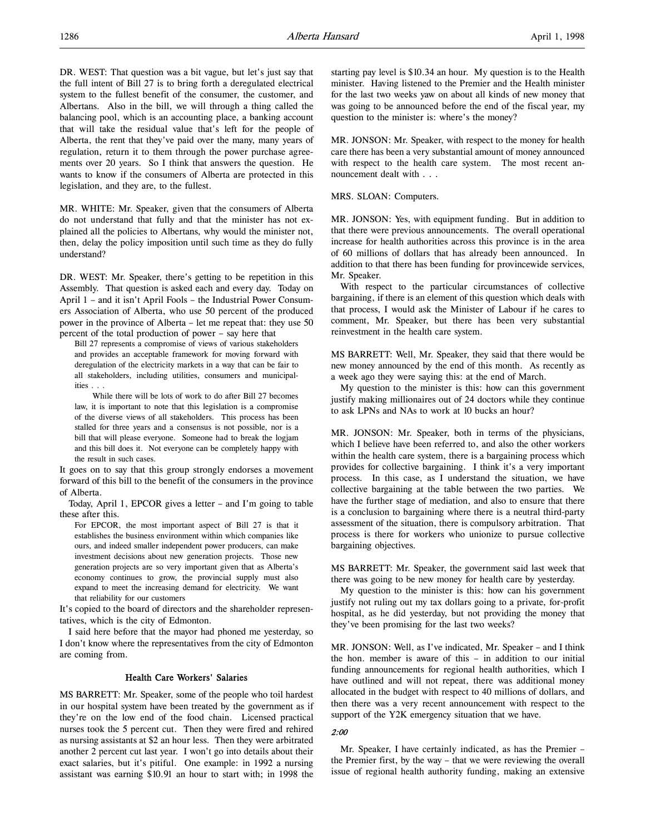DR. WEST: That question was a bit vague, but let's just say that the full intent of Bill 27 is to bring forth a deregulated electrical system to the fullest benefit of the consumer, the customer, and Albertans. Also in the bill, we will through a thing called the balancing pool, which is an accounting place, a banking account that will take the residual value that's left for the people of Alberta, the rent that they've paid over the many, many years of regulation, return it to them through the power purchase agreements over 20 years. So I think that answers the question. He wants to know if the consumers of Alberta are protected in this legislation, and they are, to the fullest.

MR. WHITE: Mr. Speaker, given that the consumers of Alberta do not understand that fully and that the minister has not explained all the policies to Albertans, why would the minister not, then, delay the policy imposition until such time as they do fully understand?

DR. WEST: Mr. Speaker, there's getting to be repetition in this Assembly. That question is asked each and every day. Today on April 1 – and it isn't April Fools – the Industrial Power Consumers Association of Alberta, who use 50 percent of the produced power in the province of Alberta – let me repeat that: they use 50 percent of the total production of power – say here that

Bill 27 represents a compromise of views of various stakeholders and provides an acceptable framework for moving forward with deregulation of the electricity markets in a way that can be fair to all stakeholders, including utilities, consumers and municipalities . . .

While there will be lots of work to do after Bill 27 becomes law, it is important to note that this legislation is a compromise of the diverse views of all stakeholders. This process has been stalled for three years and a consensus is not possible, nor is a bill that will please everyone. Someone had to break the logjam and this bill does it. Not everyone can be completely happy with the result in such cases.

It goes on to say that this group strongly endorses a movement forward of this bill to the benefit of the consumers in the province of Alberta.

Today, April 1, EPCOR gives a letter – and I'm going to table these after this.

For EPCOR, the most important aspect of Bill 27 is that it establishes the business environment within which companies like ours, and indeed smaller independent power producers, can make investment decisions about new generation projects. Those new generation projects are so very important given that as Alberta's economy continues to grow, the provincial supply must also expand to meet the increasing demand for electricity. We want that reliability for our customers

It's copied to the board of directors and the shareholder representatives, which is the city of Edmonton.

I said here before that the mayor had phoned me yesterday, so I don't know where the representatives from the city of Edmonton are coming from.

# Health Care Workers' Salaries

MS BARRETT: Mr. Speaker, some of the people who toil hardest in our hospital system have been treated by the government as if they're on the low end of the food chain. Licensed practical nurses took the 5 percent cut. Then they were fired and rehired as nursing assistants at \$2 an hour less. Then they were arbitrated another 2 percent cut last year. I won't go into details about their exact salaries, but it's pitiful. One example: in 1992 a nursing assistant was earning \$10.91 an hour to start with; in 1998 the

starting pay level is \$10.34 an hour. My question is to the Health minister. Having listened to the Premier and the Health minister for the last two weeks yaw on about all kinds of new money that was going to be announced before the end of the fiscal year, my question to the minister is: where's the money?

MR. JONSON: Mr. Speaker, with respect to the money for health care there has been a very substantial amount of money announced with respect to the health care system. The most recent announcement dealt with . . .

#### MRS. SLOAN: Computers.

MR. JONSON: Yes, with equipment funding. But in addition to that there were previous announcements. The overall operational increase for health authorities across this province is in the area of 60 millions of dollars that has already been announced. In addition to that there has been funding for provincewide services, Mr. Speaker.

With respect to the particular circumstances of collective bargaining, if there is an element of this question which deals with that process, I would ask the Minister of Labour if he cares to comment, Mr. Speaker, but there has been very substantial reinvestment in the health care system.

MS BARRETT: Well, Mr. Speaker, they said that there would be new money announced by the end of this month. As recently as a week ago they were saying this: at the end of March.

My question to the minister is this: how can this government justify making millionaires out of 24 doctors while they continue to ask LPNs and NAs to work at 10 bucks an hour?

MR. JONSON: Mr. Speaker, both in terms of the physicians, which I believe have been referred to, and also the other workers within the health care system, there is a bargaining process which provides for collective bargaining. I think it's a very important process. In this case, as I understand the situation, we have collective bargaining at the table between the two parties. We have the further stage of mediation, and also to ensure that there is a conclusion to bargaining where there is a neutral third-party assessment of the situation, there is compulsory arbitration. That process is there for workers who unionize to pursue collective bargaining objectives.

MS BARRETT: Mr. Speaker, the government said last week that there was going to be new money for health care by yesterday.

My question to the minister is this: how can his government justify not ruling out my tax dollars going to a private, for-profit hospital, as he did yesterday, but not providing the money that they've been promising for the last two weeks?

MR. JONSON: Well, as I've indicated, Mr. Speaker – and I think the hon. member is aware of this – in addition to our initial funding announcements for regional health authorities, which I have outlined and will not repeat, there was additional money allocated in the budget with respect to 40 millions of dollars, and then there was a very recent announcement with respect to the support of the Y2K emergency situation that we have.

# 2:00

Mr. Speaker, I have certainly indicated, as has the Premier – the Premier first, by the way – that we were reviewing the overall issue of regional health authority funding, making an extensive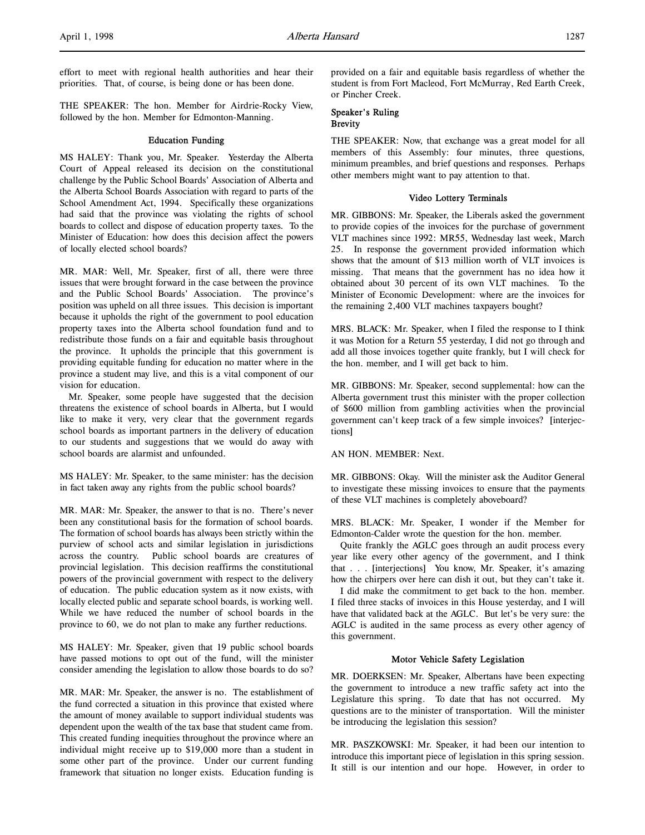effort to meet with regional health authorities and hear their priorities. That, of course, is being done or has been done.

THE SPEAKER: The hon. Member for Airdrie-Rocky View, followed by the hon. Member for Edmonton-Manning.

# Education Funding

MS HALEY: Thank you, Mr. Speaker. Yesterday the Alberta Court of Appeal released its decision on the constitutional challenge by the Public School Boards' Association of Alberta and the Alberta School Boards Association with regard to parts of the School Amendment Act, 1994. Specifically these organizations had said that the province was violating the rights of school boards to collect and dispose of education property taxes. To the Minister of Education: how does this decision affect the powers of locally elected school boards?

MR. MAR: Well, Mr. Speaker, first of all, there were three issues that were brought forward in the case between the province and the Public School Boards' Association. The province's position was upheld on all three issues. This decision is important because it upholds the right of the government to pool education property taxes into the Alberta school foundation fund and to redistribute those funds on a fair and equitable basis throughout the province. It upholds the principle that this government is providing equitable funding for education no matter where in the province a student may live, and this is a vital component of our vision for education.

Mr. Speaker, some people have suggested that the decision threatens the existence of school boards in Alberta, but I would like to make it very, very clear that the government regards school boards as important partners in the delivery of education to our students and suggestions that we would do away with school boards are alarmist and unfounded.

MS HALEY: Mr. Speaker, to the same minister: has the decision in fact taken away any rights from the public school boards?

MR. MAR: Mr. Speaker, the answer to that is no. There's never been any constitutional basis for the formation of school boards. The formation of school boards has always been strictly within the purview of school acts and similar legislation in jurisdictions across the country. Public school boards are creatures of provincial legislation. This decision reaffirms the constitutional powers of the provincial government with respect to the delivery of education. The public education system as it now exists, with locally elected public and separate school boards, is working well. While we have reduced the number of school boards in the province to 60, we do not plan to make any further reductions.

MS HALEY: Mr. Speaker, given that 19 public school boards have passed motions to opt out of the fund, will the minister consider amending the legislation to allow those boards to do so?

MR. MAR: Mr. Speaker, the answer is no. The establishment of the fund corrected a situation in this province that existed where the amount of money available to support individual students was dependent upon the wealth of the tax base that student came from. This created funding inequities throughout the province where an individual might receive up to \$19,000 more than a student in some other part of the province. Under our current funding framework that situation no longer exists. Education funding is

provided on a fair and equitable basis regardless of whether the student is from Fort Macleod, Fort McMurray, Red Earth Creek, or Pincher Creek.

# Speaker's Ruling Brevity

THE SPEAKER: Now, that exchange was a great model for all members of this Assembly: four minutes, three questions, minimum preambles, and brief questions and responses. Perhaps other members might want to pay attention to that.

# Video Lottery Terminals

MR. GIBBONS: Mr. Speaker, the Liberals asked the government to provide copies of the invoices for the purchase of government VLT machines since 1992: MR55, Wednesday last week, March 25. In response the government provided information which shows that the amount of \$13 million worth of VLT invoices is missing. That means that the government has no idea how it obtained about 30 percent of its own VLT machines. To the Minister of Economic Development: where are the invoices for the remaining 2,400 VLT machines taxpayers bought?

MRS. BLACK: Mr. Speaker, when I filed the response to I think it was Motion for a Return 55 yesterday, I did not go through and add all those invoices together quite frankly, but I will check for the hon. member, and I will get back to him.

MR. GIBBONS: Mr. Speaker, second supplemental: how can the Alberta government trust this minister with the proper collection of \$600 million from gambling activities when the provincial government can't keep track of a few simple invoices? [interjections]

AN HON. MEMBER: Next.

MR. GIBBONS: Okay. Will the minister ask the Auditor General to investigate these missing invoices to ensure that the payments of these VLT machines is completely aboveboard?

MRS. BLACK: Mr. Speaker, I wonder if the Member for Edmonton-Calder wrote the question for the hon. member.

Quite frankly the AGLC goes through an audit process every year like every other agency of the government, and I think that . . . [interjections] You know, Mr. Speaker, it's amazing how the chirpers over here can dish it out, but they can't take it.

I did make the commitment to get back to the hon. member. I filed three stacks of invoices in this House yesterday, and I will have that validated back at the AGLC. But let's be very sure: the AGLC is audited in the same process as every other agency of this government.

# Motor Vehicle Safety Legislation

MR. DOERKSEN: Mr. Speaker, Albertans have been expecting the government to introduce a new traffic safety act into the Legislature this spring. To date that has not occurred. My questions are to the minister of transportation. Will the minister be introducing the legislation this session?

MR. PASZKOWSKI: Mr. Speaker, it had been our intention to introduce this important piece of legislation in this spring session. It still is our intention and our hope. However, in order to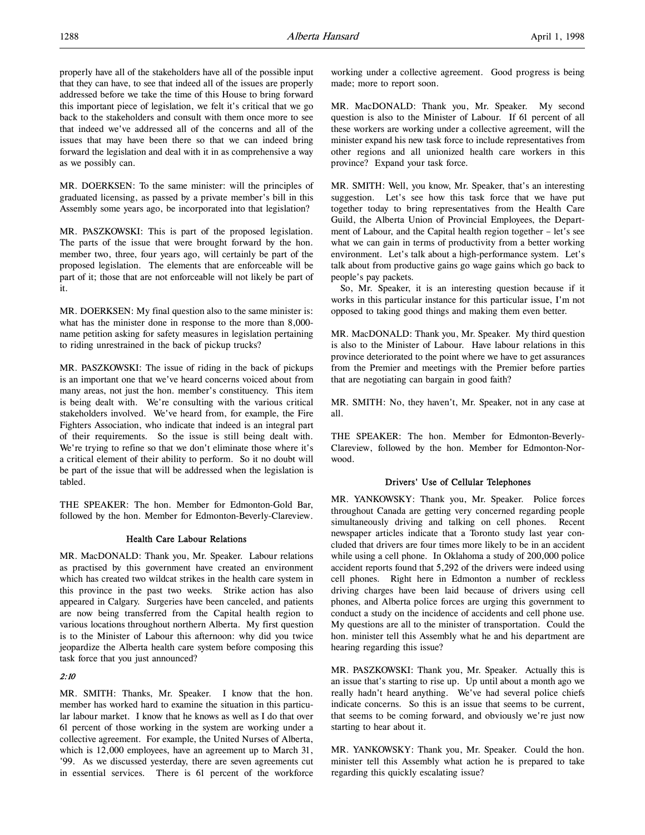properly have all of the stakeholders have all of the possible input that they can have, to see that indeed all of the issues are properly addressed before we take the time of this House to bring forward this important piece of legislation, we felt it's critical that we go back to the stakeholders and consult with them once more to see that indeed we've addressed all of the concerns and all of the issues that may have been there so that we can indeed bring forward the legislation and deal with it in as comprehensive a way as we possibly can.

MR. DOERKSEN: To the same minister: will the principles of graduated licensing, as passed by a private member's bill in this Assembly some years ago, be incorporated into that legislation?

MR. PASZKOWSKI: This is part of the proposed legislation. The parts of the issue that were brought forward by the hon. member two, three, four years ago, will certainly be part of the proposed legislation. The elements that are enforceable will be part of it; those that are not enforceable will not likely be part of it.

MR. DOERKSEN: My final question also to the same minister is: what has the minister done in response to the more than 8,000 name petition asking for safety measures in legislation pertaining to riding unrestrained in the back of pickup trucks?

MR. PASZKOWSKI: The issue of riding in the back of pickups is an important one that we've heard concerns voiced about from many areas, not just the hon. member's constituency. This item is being dealt with. We're consulting with the various critical stakeholders involved. We've heard from, for example, the Fire Fighters Association, who indicate that indeed is an integral part of their requirements. So the issue is still being dealt with. We're trying to refine so that we don't eliminate those where it's a critical element of their ability to perform. So it no doubt will be part of the issue that will be addressed when the legislation is tabled.

THE SPEAKER: The hon. Member for Edmonton-Gold Bar, followed by the hon. Member for Edmonton-Beverly-Clareview.

# Health Care Labour Relations

MR. MacDONALD: Thank you, Mr. Speaker. Labour relations as practised by this government have created an environment which has created two wildcat strikes in the health care system in this province in the past two weeks. Strike action has also appeared in Calgary. Surgeries have been canceled, and patients are now being transferred from the Capital health region to various locations throughout northern Alberta. My first question is to the Minister of Labour this afternoon: why did you twice jeopardize the Alberta health care system before composing this task force that you just announced?

# 2:10

MR. SMITH: Thanks, Mr. Speaker. I know that the hon. member has worked hard to examine the situation in this particular labour market. I know that he knows as well as I do that over 61 percent of those working in the system are working under a collective agreement. For example, the United Nurses of Alberta, which is 12,000 employees, have an agreement up to March 31, '99. As we discussed yesterday, there are seven agreements cut in essential services. There is 61 percent of the workforce

working under a collective agreement. Good progress is being made; more to report soon.

MR. MacDONALD: Thank you, Mr. Speaker. My second question is also to the Minister of Labour. If 61 percent of all these workers are working under a collective agreement, will the minister expand his new task force to include representatives from other regions and all unionized health care workers in this province? Expand your task force.

MR. SMITH: Well, you know, Mr. Speaker, that's an interesting suggestion. Let's see how this task force that we have put together today to bring representatives from the Health Care Guild, the Alberta Union of Provincial Employees, the Department of Labour, and the Capital health region together – let's see what we can gain in terms of productivity from a better working environment. Let's talk about a high-performance system. Let's talk about from productive gains go wage gains which go back to people's pay packets.

So, Mr. Speaker, it is an interesting question because if it works in this particular instance for this particular issue, I'm not opposed to taking good things and making them even better.

MR. MacDONALD: Thank you, Mr. Speaker. My third question is also to the Minister of Labour. Have labour relations in this province deteriorated to the point where we have to get assurances from the Premier and meetings with the Premier before parties that are negotiating can bargain in good faith?

MR. SMITH: No, they haven't, Mr. Speaker, not in any case at all.

THE SPEAKER: The hon. Member for Edmonton-Beverly-Clareview, followed by the hon. Member for Edmonton-Norwood.

# Drivers' Use of Cellular Telephones

MR. YANKOWSKY: Thank you, Mr. Speaker. Police forces throughout Canada are getting very concerned regarding people simultaneously driving and talking on cell phones. Recent newspaper articles indicate that a Toronto study last year concluded that drivers are four times more likely to be in an accident while using a cell phone. In Oklahoma a study of 200,000 police accident reports found that 5,292 of the drivers were indeed using cell phones. Right here in Edmonton a number of reckless driving charges have been laid because of drivers using cell phones, and Alberta police forces are urging this government to conduct a study on the incidence of accidents and cell phone use. My questions are all to the minister of transportation. Could the hon. minister tell this Assembly what he and his department are hearing regarding this issue?

MR. PASZKOWSKI: Thank you, Mr. Speaker. Actually this is an issue that's starting to rise up. Up until about a month ago we really hadn't heard anything. We've had several police chiefs indicate concerns. So this is an issue that seems to be current, that seems to be coming forward, and obviously we're just now starting to hear about it.

MR. YANKOWSKY: Thank you, Mr. Speaker. Could the hon. minister tell this Assembly what action he is prepared to take regarding this quickly escalating issue?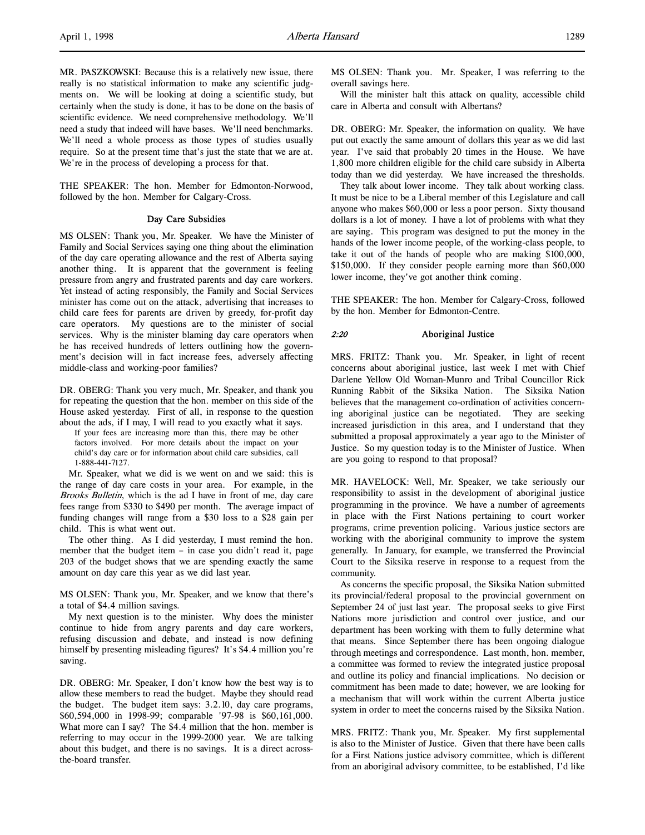MR. PASZKOWSKI: Because this is a relatively new issue, there really is no statistical information to make any scientific judgments on. We will be looking at doing a scientific study, but certainly when the study is done, it has to be done on the basis of scientific evidence. We need comprehensive methodology. We'll need a study that indeed will have bases. We'll need benchmarks. We'll need a whole process as those types of studies usually require. So at the present time that's just the state that we are at. We're in the process of developing a process for that.

THE SPEAKER: The hon. Member for Edmonton-Norwood, followed by the hon. Member for Calgary-Cross.

#### Day Care Subsidies

MS OLSEN: Thank you, Mr. Speaker. We have the Minister of Family and Social Services saying one thing about the elimination of the day care operating allowance and the rest of Alberta saying another thing. It is apparent that the government is feeling pressure from angry and frustrated parents and day care workers. Yet instead of acting responsibly, the Family and Social Services minister has come out on the attack, advertising that increases to child care fees for parents are driven by greedy, for-profit day care operators. My questions are to the minister of social services. Why is the minister blaming day care operators when he has received hundreds of letters outlining how the government's decision will in fact increase fees, adversely affecting middle-class and working-poor families?

DR. OBERG: Thank you very much, Mr. Speaker, and thank you for repeating the question that the hon. member on this side of the House asked yesterday. First of all, in response to the question about the ads, if I may, I will read to you exactly what it says.

If your fees are increasing more than this, there may be other factors involved. For more details about the impact on your child's day care or for information about child care subsidies, call 1-888-441-7127.

Mr. Speaker, what we did is we went on and we said: this is the range of day care costs in your area. For example, in the Brooks Bulletin, which is the ad I have in front of me, day care fees range from \$330 to \$490 per month. The average impact of funding changes will range from a \$30 loss to a \$28 gain per child. This is what went out.

The other thing. As I did yesterday, I must remind the hon. member that the budget item – in case you didn't read it, page 203 of the budget shows that we are spending exactly the same amount on day care this year as we did last year.

MS OLSEN: Thank you, Mr. Speaker, and we know that there's a total of \$4.4 million savings.

My next question is to the minister. Why does the minister continue to hide from angry parents and day care workers, refusing discussion and debate, and instead is now defining himself by presenting misleading figures? It's \$4.4 million you're saving.

DR. OBERG: Mr. Speaker, I don't know how the best way is to allow these members to read the budget. Maybe they should read the budget. The budget item says: 3.2.10, day care programs, \$60,594,000 in 1998-99; comparable '97-98 is \$60,161,000. What more can I say? The \$4.4 million that the hon. member is referring to may occur in the 1999-2000 year. We are talking about this budget, and there is no savings. It is a direct acrossthe-board transfer.

MS OLSEN: Thank you. Mr. Speaker, I was referring to the overall savings here.

Will the minister halt this attack on quality, accessible child care in Alberta and consult with Albertans?

DR. OBERG: Mr. Speaker, the information on quality. We have put out exactly the same amount of dollars this year as we did last year. I've said that probably 20 times in the House. We have 1,800 more children eligible for the child care subsidy in Alberta today than we did yesterday. We have increased the thresholds.

They talk about lower income. They talk about working class. It must be nice to be a Liberal member of this Legislature and call anyone who makes \$60,000 or less a poor person. Sixty thousand dollars is a lot of money. I have a lot of problems with what they are saying. This program was designed to put the money in the hands of the lower income people, of the working-class people, to take it out of the hands of people who are making \$100,000, \$150,000. If they consider people earning more than \$60,000 lower income, they've got another think coming.

THE SPEAKER: The hon. Member for Calgary-Cross, followed by the hon. Member for Edmonton-Centre.

#### 2:20 Aboriginal Justice

MRS. FRITZ: Thank you. Mr. Speaker, in light of recent concerns about aboriginal justice, last week I met with Chief Darlene Yellow Old Woman-Munro and Tribal Councillor Rick Running Rabbit of the Siksika Nation. The Siksika Nation believes that the management co-ordination of activities concerning aboriginal justice can be negotiated. They are seeking increased jurisdiction in this area, and I understand that they submitted a proposal approximately a year ago to the Minister of Justice. So my question today is to the Minister of Justice. When are you going to respond to that proposal?

MR. HAVELOCK: Well, Mr. Speaker, we take seriously our responsibility to assist in the development of aboriginal justice programming in the province. We have a number of agreements in place with the First Nations pertaining to court worker programs, crime prevention policing. Various justice sectors are working with the aboriginal community to improve the system generally. In January, for example, we transferred the Provincial Court to the Siksika reserve in response to a request from the community.

As concerns the specific proposal, the Siksika Nation submitted its provincial/federal proposal to the provincial government on September 24 of just last year. The proposal seeks to give First Nations more jurisdiction and control over justice, and our department has been working with them to fully determine what that means. Since September there has been ongoing dialogue through meetings and correspondence. Last month, hon. member, a committee was formed to review the integrated justice proposal and outline its policy and financial implications. No decision or commitment has been made to date; however, we are looking for a mechanism that will work within the current Alberta justice system in order to meet the concerns raised by the Siksika Nation.

MRS. FRITZ: Thank you, Mr. Speaker. My first supplemental is also to the Minister of Justice. Given that there have been calls for a First Nations justice advisory committee, which is different from an aboriginal advisory committee, to be established, I'd like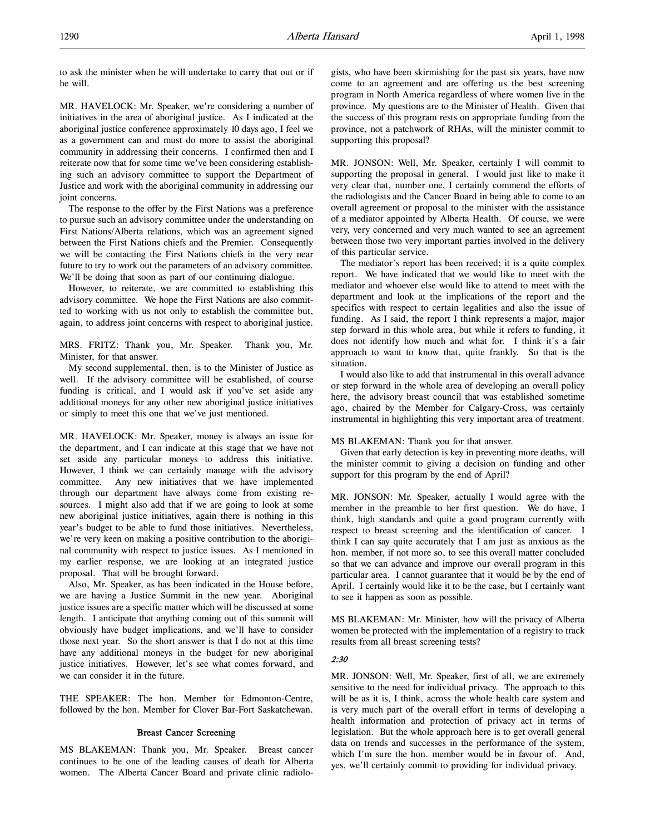to ask the minister when he will undertake to carry that out or if he will.

MR. HAVELOCK: Mr. Speaker, we're considering a number of initiatives in the area of aboriginal justice. As I indicated at the aboriginal justice conference approximately 10 days ago, I feel we as a government can and must do more to assist the aboriginal community in addressing their concerns. I confirmed then and I reiterate now that for some time we've been considering establishing such an advisory committee to support the Department of Justice and work with the aboriginal community in addressing our joint concerns.

The response to the offer by the First Nations was a preference to pursue such an advisory committee under the understanding on First Nations/Alberta relations, which was an agreement signed between the First Nations chiefs and the Premier. Consequently we will be contacting the First Nations chiefs in the very near future to try to work out the parameters of an advisory committee. We'll be doing that soon as part of our continuing dialogue.

However, to reiterate, we are committed to establishing this advisory committee. We hope the First Nations are also committed to working with us not only to establish the committee but, again, to address joint concerns with respect to aboriginal justice.

MRS. FRITZ: Thank you, Mr. Speaker. Thank you, Mr. Minister, for that answer.

My second supplemental, then, is to the Minister of Justice as well. If the advisory committee will be established, of course funding is critical, and I would ask if you've set aside any additional moneys for any other new aboriginal justice initiatives or simply to meet this one that we've just mentioned.

MR. HAVELOCK: Mr. Speaker, money is always an issue for the department, and I can indicate at this stage that we have not set aside any particular moneys to address this initiative. However, I think we can certainly manage with the advisory committee. Any new initiatives that we have implemented through our department have always come from existing resources. I might also add that if we are going to look at some new aboriginal justice initiatives, again there is nothing in this year's budget to be able to fund those initiatives. Nevertheless, we're very keen on making a positive contribution to the aboriginal community with respect to justice issues. As I mentioned in my earlier response, we are looking at an integrated justice proposal. That will be brought forward.

Also, Mr. Speaker, as has been indicated in the House before, we are having a Justice Summit in the new year. Aboriginal justice issues are a specific matter which will be discussed at some length. I anticipate that anything coming out of this summit will obviously have budget implications, and we'll have to consider those next year. So the short answer is that I do not at this time have any additional moneys in the budget for new aboriginal justice initiatives. However, let's see what comes forward, and we can consider it in the future.

THE SPEAKER: The hon. Member for Edmonton-Centre, followed by the hon. Member for Clover Bar-Fort Saskatchewan.

# Breast Cancer Screening

MS BLAKEMAN: Thank you, Mr. Speaker. Breast cancer continues to be one of the leading causes of death for Alberta women. The Alberta Cancer Board and private clinic radiologists, who have been skirmishing for the past six years, have now come to an agreement and are offering us the best screening program in North America regardless of where women live in the province. My questions are to the Minister of Health. Given that the success of this program rests on appropriate funding from the province, not a patchwork of RHAs, will the minister commit to supporting this proposal?

MR. JONSON: Well, Mr. Speaker, certainly I will commit to supporting the proposal in general. I would just like to make it very clear that, number one, I certainly commend the efforts of the radiologists and the Cancer Board in being able to come to an overall agreement or proposal to the minister with the assistance of a mediator appointed by Alberta Health. Of course, we were very, very concerned and very much wanted to see an agreement between those two very important parties involved in the delivery of this particular service.

The mediator's report has been received; it is a quite complex report. We have indicated that we would like to meet with the mediator and whoever else would like to attend to meet with the department and look at the implications of the report and the specifics with respect to certain legalities and also the issue of funding. As I said, the report I think represents a major, major step forward in this whole area, but while it refers to funding, it does not identify how much and what for. I think it's a fair approach to want to know that, quite frankly. So that is the situation.

I would also like to add that instrumental in this overall advance or step forward in the whole area of developing an overall policy here, the advisory breast council that was established sometime ago, chaired by the Member for Calgary-Cross, was certainly instrumental in highlighting this very important area of treatment.

#### MS BLAKEMAN: Thank you for that answer.

Given that early detection is key in preventing more deaths, will the minister commit to giving a decision on funding and other support for this program by the end of April?

MR. JONSON: Mr. Speaker, actually I would agree with the member in the preamble to her first question. We do have, I think, high standards and quite a good program currently with respect to breast screening and the identification of cancer. I think I can say quite accurately that I am just as anxious as the hon. member, if not more so, to see this overall matter concluded so that we can advance and improve our overall program in this particular area. I cannot guarantee that it would be by the end of April. I certainly would like it to be the case, but I certainly want to see it happen as soon as possible.

MS BLAKEMAN: Mr. Minister, how will the privacy of Alberta women be protected with the implementation of a registry to track results from all breast screening tests?

# 2:30

MR. JONSON: Well, Mr. Speaker, first of all, we are extremely sensitive to the need for individual privacy. The approach to this will be as it is, I think, across the whole health care system and is very much part of the overall effort in terms of developing a health information and protection of privacy act in terms of legislation. But the whole approach here is to get overall general data on trends and successes in the performance of the system, which I'm sure the hon. member would be in favour of. And, yes, we'll certainly commit to providing for individual privacy.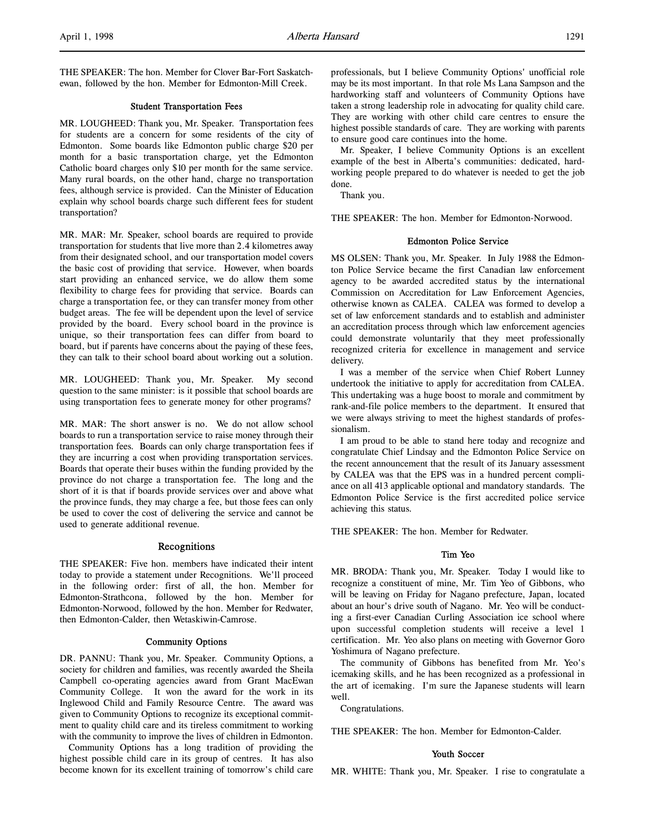# Student Transportation Fees

MR. LOUGHEED: Thank you, Mr. Speaker. Transportation fees for students are a concern for some residents of the city of Edmonton. Some boards like Edmonton public charge \$20 per month for a basic transportation charge, yet the Edmonton Catholic board charges only \$10 per month for the same service. Many rural boards, on the other hand, charge no transportation fees, although service is provided. Can the Minister of Education explain why school boards charge such different fees for student transportation?

MR. MAR: Mr. Speaker, school boards are required to provide transportation for students that live more than 2.4 kilometres away from their designated school, and our transportation model covers the basic cost of providing that service. However, when boards start providing an enhanced service, we do allow them some flexibility to charge fees for providing that service. Boards can charge a transportation fee, or they can transfer money from other budget areas. The fee will be dependent upon the level of service provided by the board. Every school board in the province is unique, so their transportation fees can differ from board to board, but if parents have concerns about the paying of these fees, they can talk to their school board about working out a solution.

MR. LOUGHEED: Thank you, Mr. Speaker. My second question to the same minister: is it possible that school boards are using transportation fees to generate money for other programs?

MR. MAR: The short answer is no. We do not allow school boards to run a transportation service to raise money through their transportation fees. Boards can only charge transportation fees if they are incurring a cost when providing transportation services. Boards that operate their buses within the funding provided by the province do not charge a transportation fee. The long and the short of it is that if boards provide services over and above what the province funds, they may charge a fee, but those fees can only be used to cover the cost of delivering the service and cannot be used to generate additional revenue.

# Recognitions

THE SPEAKER: Five hon. members have indicated their intent today to provide a statement under Recognitions. We'll proceed in the following order: first of all, the hon. Member for Edmonton-Strathcona, followed by the hon. Member for Edmonton-Norwood, followed by the hon. Member for Redwater, then Edmonton-Calder, then Wetaskiwin-Camrose.

#### Community Options

DR. PANNU: Thank you, Mr. Speaker. Community Options, a society for children and families, was recently awarded the Sheila Campbell co-operating agencies award from Grant MacEwan Community College. It won the award for the work in its Inglewood Child and Family Resource Centre. The award was given to Community Options to recognize its exceptional commitment to quality child care and its tireless commitment to working with the community to improve the lives of children in Edmonton.

Community Options has a long tradition of providing the highest possible child care in its group of centres. It has also become known for its excellent training of tomorrow's child care

professionals, but I believe Community Options' unofficial role may be its most important. In that role Ms Lana Sampson and the hardworking staff and volunteers of Community Options have taken a strong leadership role in advocating for quality child care. They are working with other child care centres to ensure the highest possible standards of care. They are working with parents to ensure good care continues into the home.

Mr. Speaker, I believe Community Options is an excellent example of the best in Alberta's communities: dedicated, hardworking people prepared to do whatever is needed to get the job done.

Thank you.

THE SPEAKER: The hon. Member for Edmonton-Norwood.

#### Edmonton Police Service

MS OLSEN: Thank you, Mr. Speaker. In July 1988 the Edmonton Police Service became the first Canadian law enforcement agency to be awarded accredited status by the international Commission on Accreditation for Law Enforcement Agencies, otherwise known as CALEA. CALEA was formed to develop a set of law enforcement standards and to establish and administer an accreditation process through which law enforcement agencies could demonstrate voluntarily that they meet professionally recognized criteria for excellence in management and service delivery.

I was a member of the service when Chief Robert Lunney undertook the initiative to apply for accreditation from CALEA. This undertaking was a huge boost to morale and commitment by rank-and-file police members to the department. It ensured that we were always striving to meet the highest standards of professionalism.

I am proud to be able to stand here today and recognize and congratulate Chief Lindsay and the Edmonton Police Service on the recent announcement that the result of its January assessment by CALEA was that the EPS was in a hundred percent compliance on all 413 applicable optional and mandatory standards. The Edmonton Police Service is the first accredited police service achieving this status.

THE SPEAKER: The hon. Member for Redwater.

## Tim Yeo

MR. BRODA: Thank you, Mr. Speaker. Today I would like to recognize a constituent of mine, Mr. Tim Yeo of Gibbons, who will be leaving on Friday for Nagano prefecture, Japan, located about an hour's drive south of Nagano. Mr. Yeo will be conducting a first-ever Canadian Curling Association ice school where upon successful completion students will receive a level 1 certification. Mr. Yeo also plans on meeting with Governor Goro Yoshimura of Nagano prefecture.

The community of Gibbons has benefited from Mr. Yeo's icemaking skills, and he has been recognized as a professional in the art of icemaking. I'm sure the Japanese students will learn well.

Congratulations.

THE SPEAKER: The hon. Member for Edmonton-Calder.

#### Youth Soccer

MR. WHITE: Thank you, Mr. Speaker. I rise to congratulate a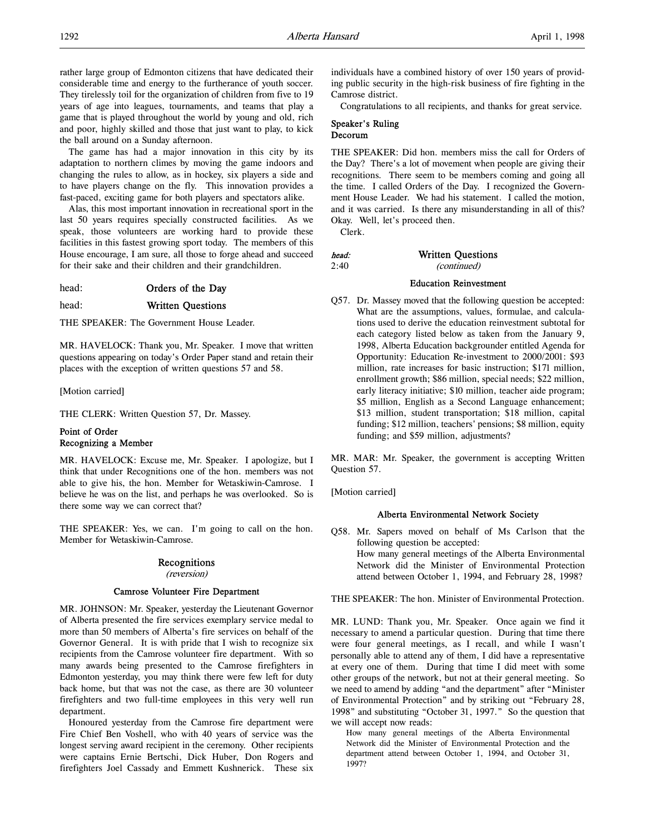rather large group of Edmonton citizens that have dedicated their considerable time and energy to the furtherance of youth soccer. They tirelessly toil for the organization of children from five to 19 years of age into leagues, tournaments, and teams that play a game that is played throughout the world by young and old, rich and poor, highly skilled and those that just want to play, to kick the ball around on a Sunday afternoon.

The game has had a major innovation in this city by its adaptation to northern climes by moving the game indoors and changing the rules to allow, as in hockey, six players a side and to have players change on the fly. This innovation provides a fast-paced, exciting game for both players and spectators alike.

Alas, this most important innovation in recreational sport in the last 50 years requires specially constructed facilities. As we speak, those volunteers are working hard to provide these facilities in this fastest growing sport today. The members of this House encourage, I am sure, all those to forge ahead and succeed for their sake and their children and their grandchildren.

head: **Orders of the Day** 

# head: Written Questions

THE SPEAKER: The Government House Leader.

MR. HAVELOCK: Thank you, Mr. Speaker. I move that written questions appearing on today's Order Paper stand and retain their places with the exception of written questions 57 and 58.

[Motion carried]

THE CLERK: Written Question 57, Dr. Massey.

# Point of Order Recognizing a Member

MR. HAVELOCK: Excuse me, Mr. Speaker. I apologize, but I think that under Recognitions one of the hon. members was not able to give his, the hon. Member for Wetaskiwin-Camrose. I believe he was on the list, and perhaps he was overlooked. So is there some way we can correct that?

THE SPEAKER: Yes, we can. I'm going to call on the hon. Member for Wetaskiwin-Camrose.

# Recognitions

(reversion)

# Camrose Volunteer Fire Department

MR. JOHNSON: Mr. Speaker, yesterday the Lieutenant Governor of Alberta presented the fire services exemplary service medal to more than 50 members of Alberta's fire services on behalf of the Governor General. It is with pride that I wish to recognize six recipients from the Camrose volunteer fire department. With so many awards being presented to the Camrose firefighters in Edmonton yesterday, you may think there were few left for duty back home, but that was not the case, as there are 30 volunteer firefighters and two full-time employees in this very well run department.

Honoured yesterday from the Camrose fire department were Fire Chief Ben Voshell, who with 40 years of service was the longest serving award recipient in the ceremony. Other recipients were captains Ernie Bertschi, Dick Huber, Don Rogers and firefighters Joel Cassady and Emmett Kushnerick. These six

individuals have a combined history of over 150 years of providing public security in the high-risk business of fire fighting in the Camrose district.

Congratulations to all recipients, and thanks for great service.

# Speaker's Ruling Decorum

THE SPEAKER: Did hon. members miss the call for Orders of the Day? There's a lot of movement when people are giving their recognitions. There seem to be members coming and going all the time. I called Orders of the Day. I recognized the Government House Leader. We had his statement. I called the motion, and it was carried. Is there any misunderstanding in all of this? Okay. Well, let's proceed then.

Clerk.

| head: | <b>Written Questions</b> |
|-------|--------------------------|
| 2:40  | <i>(continued)</i>       |

#### Education Reinvestment

Q57. Dr. Massey moved that the following question be accepted: What are the assumptions, values, formulae, and calculations used to derive the education reinvestment subtotal for each category listed below as taken from the January 9, 1998, Alberta Education backgrounder entitled Agenda for Opportunity: Education Re-investment to 2000/2001: \$93 million, rate increases for basic instruction; \$171 million, enrollment growth; \$86 million, special needs; \$22 million, early literacy initiative; \$10 million, teacher aide program; \$5 million, English as a Second Language enhancement; \$13 million, student transportation; \$18 million, capital funding; \$12 million, teachers' pensions; \$8 million, equity funding; and \$59 million, adjustments?

MR. MAR: Mr. Speaker, the government is accepting Written Question 57.

[Motion carried]

# Alberta Environmental Network Society

Q58. Mr. Sapers moved on behalf of Ms Carlson that the following question be accepted: How many general meetings of the Alberta Environmental

Network did the Minister of Environmental Protection attend between October 1, 1994, and February 28, 1998?

THE SPEAKER: The hon. Minister of Environmental Protection.

MR. LUND: Thank you, Mr. Speaker. Once again we find it necessary to amend a particular question. During that time there were four general meetings, as I recall, and while I wasn't personally able to attend any of them, I did have a representative at every one of them. During that time I did meet with some other groups of the network, but not at their general meeting. So we need to amend by adding "and the department" after "Minister of Environmental Protection" and by striking out "February 28, 1998" and substituting "October 31, 1997." So the question that we will accept now reads:

How many general meetings of the Alberta Environmental Network did the Minister of Environmental Protection and the department attend between October 1, 1994, and October 31, 1997?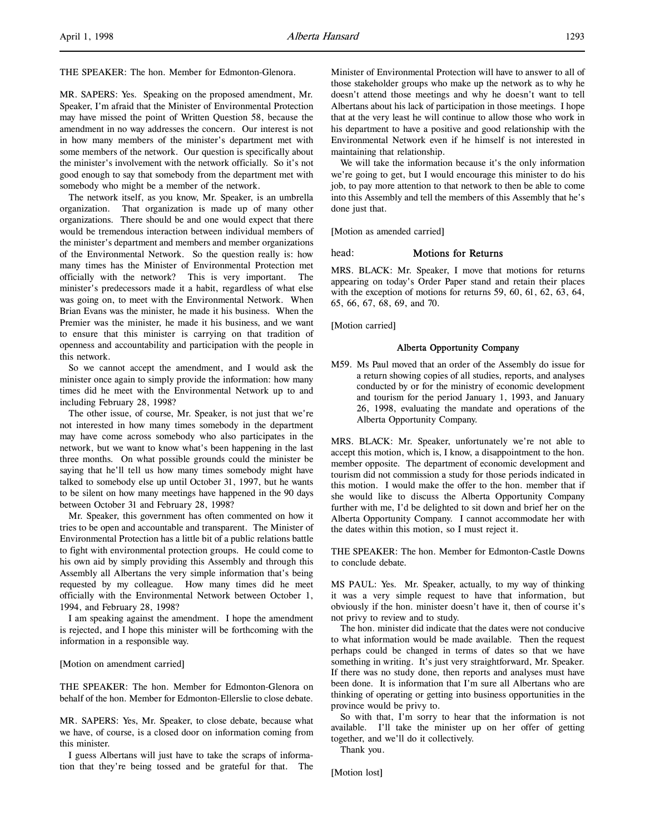THE SPEAKER: The hon. Member for Edmonton-Glenora.

MR. SAPERS: Yes. Speaking on the proposed amendment, Mr. Speaker, I'm afraid that the Minister of Environmental Protection may have missed the point of Written Question 58, because the amendment in no way addresses the concern. Our interest is not in how many members of the minister's department met with some members of the network. Our question is specifically about the minister's involvement with the network officially. So it's not good enough to say that somebody from the department met with somebody who might be a member of the network.

The network itself, as you know, Mr. Speaker, is an umbrella organization. That organization is made up of many other organizations. There should be and one would expect that there would be tremendous interaction between individual members of the minister's department and members and member organizations of the Environmental Network. So the question really is: how many times has the Minister of Environmental Protection met officially with the network? This is very important. The minister's predecessors made it a habit, regardless of what else was going on, to meet with the Environmental Network. When Brian Evans was the minister, he made it his business. When the Premier was the minister, he made it his business, and we want to ensure that this minister is carrying on that tradition of openness and accountability and participation with the people in this network.

So we cannot accept the amendment, and I would ask the minister once again to simply provide the information: how many times did he meet with the Environmental Network up to and including February 28, 1998?

The other issue, of course, Mr. Speaker, is not just that we're not interested in how many times somebody in the department may have come across somebody who also participates in the network, but we want to know what's been happening in the last three months. On what possible grounds could the minister be saying that he'll tell us how many times somebody might have talked to somebody else up until October 31, 1997, but he wants to be silent on how many meetings have happened in the 90 days between October 31 and February 28, 1998?

Mr. Speaker, this government has often commented on how it tries to be open and accountable and transparent. The Minister of Environmental Protection has a little bit of a public relations battle to fight with environmental protection groups. He could come to his own aid by simply providing this Assembly and through this Assembly all Albertans the very simple information that's being requested by my colleague. How many times did he meet officially with the Environmental Network between October 1, 1994, and February 28, 1998?

I am speaking against the amendment. I hope the amendment is rejected, and I hope this minister will be forthcoming with the information in a responsible way.

#### [Motion on amendment carried]

THE SPEAKER: The hon. Member for Edmonton-Glenora on behalf of the hon. Member for Edmonton-Ellerslie to close debate.

MR. SAPERS: Yes, Mr. Speaker, to close debate, because what we have, of course, is a closed door on information coming from this minister.

I guess Albertans will just have to take the scraps of information that they're being tossed and be grateful for that. The Minister of Environmental Protection will have to answer to all of those stakeholder groups who make up the network as to why he doesn't attend those meetings and why he doesn't want to tell Albertans about his lack of participation in those meetings. I hope that at the very least he will continue to allow those who work in his department to have a positive and good relationship with the Environmental Network even if he himself is not interested in maintaining that relationship.

We will take the information because it's the only information we're going to get, but I would encourage this minister to do his job, to pay more attention to that network to then be able to come into this Assembly and tell the members of this Assembly that he's done just that.

[Motion as amended carried]

#### head: **Motions for Returns**

MRS. BLACK: Mr. Speaker, I move that motions for returns appearing on today's Order Paper stand and retain their places with the exception of motions for returns 59, 60, 61, 62, 63, 64, 65, 66, 67, 68, 69, and 70.

[Motion carried]

# Alberta Opportunity Company

M59. Ms Paul moved that an order of the Assembly do issue for a return showing copies of all studies, reports, and analyses conducted by or for the ministry of economic development and tourism for the period January 1, 1993, and January 26, 1998, evaluating the mandate and operations of the Alberta Opportunity Company.

MRS. BLACK: Mr. Speaker, unfortunately we're not able to accept this motion, which is, I know, a disappointment to the hon. member opposite. The department of economic development and tourism did not commission a study for those periods indicated in this motion. I would make the offer to the hon. member that if she would like to discuss the Alberta Opportunity Company further with me, I'd be delighted to sit down and brief her on the Alberta Opportunity Company. I cannot accommodate her with the dates within this motion, so I must reject it.

THE SPEAKER: The hon. Member for Edmonton-Castle Downs to conclude debate.

MS PAUL: Yes. Mr. Speaker, actually, to my way of thinking it was a very simple request to have that information, but obviously if the hon. minister doesn't have it, then of course it's not privy to review and to study.

The hon. minister did indicate that the dates were not conducive to what information would be made available. Then the request perhaps could be changed in terms of dates so that we have something in writing. It's just very straightforward, Mr. Speaker. If there was no study done, then reports and analyses must have been done. It is information that I'm sure all Albertans who are thinking of operating or getting into business opportunities in the province would be privy to.

So with that, I'm sorry to hear that the information is not available. I'll take the minister up on her offer of getting together, and we'll do it collectively.

Thank you.

[Motion lost]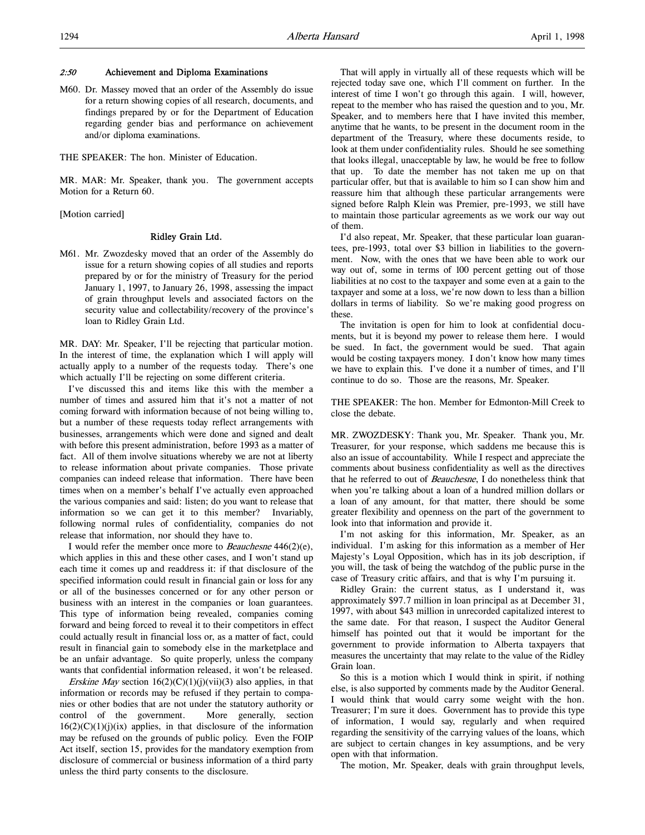#### 2:50 Achievement and Diploma Examinations

M60. Dr. Massey moved that an order of the Assembly do issue for a return showing copies of all research, documents, and findings prepared by or for the Department of Education regarding gender bias and performance on achievement and/or diploma examinations.

THE SPEAKER: The hon. Minister of Education.

MR. MAR: Mr. Speaker, thank you. The government accepts Motion for a Return 60.

[Motion carried]

# Ridley Grain Ltd.

M61. Mr. Zwozdesky moved that an order of the Assembly do issue for a return showing copies of all studies and reports prepared by or for the ministry of Treasury for the period January 1, 1997, to January 26, 1998, assessing the impact of grain throughput levels and associated factors on the security value and collectability/recovery of the province's loan to Ridley Grain Ltd.

MR. DAY: Mr. Speaker, I'll be rejecting that particular motion. In the interest of time, the explanation which I will apply will actually apply to a number of the requests today. There's one which actually I'll be rejecting on some different criteria.

I've discussed this and items like this with the member a number of times and assured him that it's not a matter of not coming forward with information because of not being willing to, but a number of these requests today reflect arrangements with businesses, arrangements which were done and signed and dealt with before this present administration, before 1993 as a matter of fact. All of them involve situations whereby we are not at liberty to release information about private companies. Those private companies can indeed release that information. There have been times when on a member's behalf I've actually even approached the various companies and said: listen; do you want to release that information so we can get it to this member? Invariably, following normal rules of confidentiality, companies do not release that information, nor should they have to.

I would refer the member once more to Beauchesne 446(2)(e), which applies in this and these other cases, and I won't stand up each time it comes up and readdress it: if that disclosure of the specified information could result in financial gain or loss for any or all of the businesses concerned or for any other person or business with an interest in the companies or loan guarantees. This type of information being revealed, companies coming forward and being forced to reveal it to their competitors in effect could actually result in financial loss or, as a matter of fact, could result in financial gain to somebody else in the marketplace and be an unfair advantage. So quite properly, unless the company wants that confidential information released, it won't be released.

*Erskine May* section  $16(2)(C)(1)(i)(vii)(3)$  also applies, in that information or records may be refused if they pertain to companies or other bodies that are not under the statutory authority or control of the government. More generally, section  $16(2)(C)(1)(j)(ix)$  applies, in that disclosure of the information may be refused on the grounds of public policy. Even the FOIP Act itself, section 15, provides for the mandatory exemption from disclosure of commercial or business information of a third party unless the third party consents to the disclosure.

That will apply in virtually all of these requests which will be rejected today save one, which I'll comment on further. In the interest of time I won't go through this again. I will, however, repeat to the member who has raised the question and to you, Mr. Speaker, and to members here that I have invited this member, anytime that he wants, to be present in the document room in the department of the Treasury, where these documents reside, to look at them under confidentiality rules. Should he see something that looks illegal, unacceptable by law, he would be free to follow that up. To date the member has not taken me up on that particular offer, but that is available to him so I can show him and reassure him that although these particular arrangements were signed before Ralph Klein was Premier, pre-1993, we still have to maintain those particular agreements as we work our way out of them.

I'd also repeat, Mr. Speaker, that these particular loan guarantees, pre-1993, total over \$3 billion in liabilities to the government. Now, with the ones that we have been able to work our way out of, some in terms of 100 percent getting out of those liabilities at no cost to the taxpayer and some even at a gain to the taxpayer and some at a loss, we're now down to less than a billion dollars in terms of liability. So we're making good progress on these.

The invitation is open for him to look at confidential documents, but it is beyond my power to release them here. I would be sued. In fact, the government would be sued. That again would be costing taxpayers money. I don't know how many times we have to explain this. I've done it a number of times, and I'll continue to do so. Those are the reasons, Mr. Speaker.

THE SPEAKER: The hon. Member for Edmonton-Mill Creek to close the debate.

MR. ZWOZDESKY: Thank you, Mr. Speaker. Thank you, Mr. Treasurer, for your response, which saddens me because this is also an issue of accountability. While I respect and appreciate the comments about business confidentiality as well as the directives that he referred to out of Beauchesne, I do nonetheless think that when you're talking about a loan of a hundred million dollars or a loan of any amount, for that matter, there should be some greater flexibility and openness on the part of the government to look into that information and provide it.

I'm not asking for this information, Mr. Speaker, as an individual. I'm asking for this information as a member of Her Majesty's Loyal Opposition, which has in its job description, if you will, the task of being the watchdog of the public purse in the case of Treasury critic affairs, and that is why I'm pursuing it.

Ridley Grain: the current status, as I understand it, was approximately \$97.7 million in loan principal as at December 31, 1997, with about \$43 million in unrecorded capitalized interest to the same date. For that reason, I suspect the Auditor General himself has pointed out that it would be important for the government to provide information to Alberta taxpayers that measures the uncertainty that may relate to the value of the Ridley Grain loan.

So this is a motion which I would think in spirit, if nothing else, is also supported by comments made by the Auditor General. I would think that would carry some weight with the hon. Treasurer; I'm sure it does. Government has to provide this type of information, I would say, regularly and when required regarding the sensitivity of the carrying values of the loans, which are subject to certain changes in key assumptions, and be very open with that information.

The motion, Mr. Speaker, deals with grain throughput levels,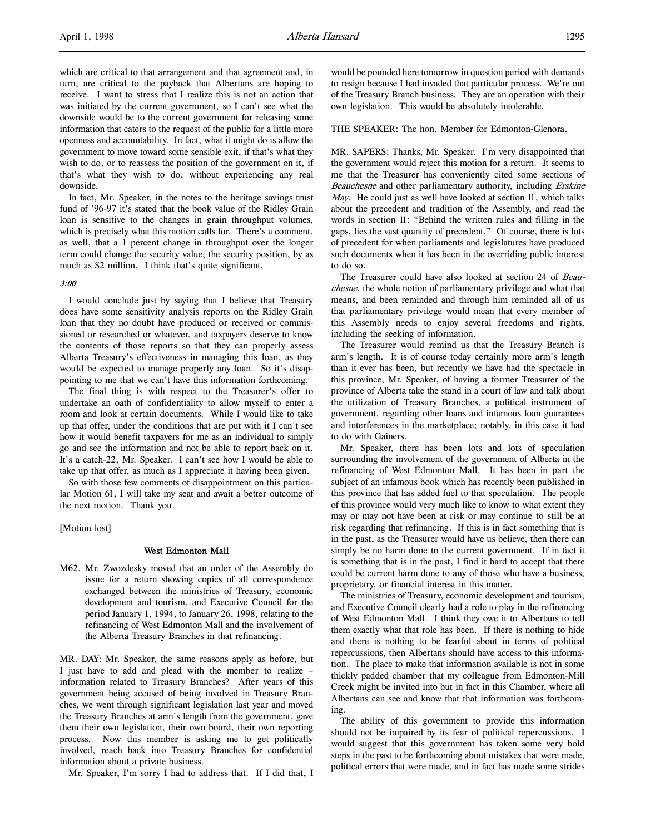which are critical to that arrangement and that agreement and, in turn, are critical to the payback that Albertans are hoping to receive. I want to stress that I realize this is not an action that was initiated by the current government, so I can't see what the downside would be to the current government for releasing some information that caters to the request of the public for a little more openness and accountability. In fact, what it might do is allow the government to move toward some sensible exit, if that's what they wish to do, or to reassess the position of the government on it, if that's what they wish to do, without experiencing any real downside.

In fact, Mr. Speaker, in the notes to the heritage savings trust fund of '96-97 it's stated that the book value of the Ridley Grain loan is sensitive to the changes in grain throughput volumes, which is precisely what this motion calls for. There's a comment, as well, that a 1 percent change in throughput over the longer term could change the security value, the security position, by as much as \$2 million. I think that's quite significant.

#### 3:00

I would conclude just by saying that I believe that Treasury does have some sensitivity analysis reports on the Ridley Grain loan that they no doubt have produced or received or commissioned or researched or whatever, and taxpayers deserve to know the contents of those reports so that they can properly assess Alberta Treasury's effectiveness in managing this loan, as they would be expected to manage properly any loan. So it's disappointing to me that we can't have this information forthcoming.

The final thing is with respect to the Treasurer's offer to undertake an oath of confidentiality to allow myself to enter a room and look at certain documents. While I would like to take up that offer, under the conditions that are put with it I can't see how it would benefit taxpayers for me as an individual to simply go and see the information and not be able to report back on it. It's a catch-22, Mr. Speaker. I can't see how I would be able to take up that offer, as much as I appreciate it having been given.

So with those few comments of disappointment on this particular Motion 61, I will take my seat and await a better outcome of the next motion. Thank you.

[Motion lost]

# West Edmonton Mall

M62. Mr. Zwozdesky moved that an order of the Assembly do issue for a return showing copies of all correspondence exchanged between the ministries of Treasury, economic development and tourism, and Executive Council for the period January 1, 1994, to January 26, 1998, relating to the refinancing of West Edmonton Mall and the involvement of the Alberta Treasury Branches in that refinancing.

MR. DAY: Mr. Speaker, the same reasons apply as before, but I just have to add and plead with the member to realize – information related to Treasury Branches? After years of this government being accused of being involved in Treasury Branches, we went through significant legislation last year and moved the Treasury Branches at arm's length from the government, gave them their own legislation, their own board, their own reporting process. Now this member is asking me to get politically involved, reach back into Treasury Branches for confidential information about a private business.

Mr. Speaker, I'm sorry I had to address that. If I did that, I

would be pounded here tomorrow in question period with demands to resign because I had invaded that particular process. We're out of the Treasury Branch business. They are an operation with their own legislation. This would be absolutely intolerable.

THE SPEAKER: The hon. Member for Edmonton-Glenora.

MR. SAPERS: Thanks, Mr. Speaker. I'm very disappointed that the government would reject this motion for a return. It seems to me that the Treasurer has conveniently cited some sections of Beauchesne and other parliamentary authority, including Erskine May. He could just as well have looked at section 11, which talks about the precedent and tradition of the Assembly, and read the words in section 11: "Behind the written rules and filling in the gaps, lies the vast quantity of precedent." Of course, there is lots of precedent for when parliaments and legislatures have produced such documents when it has been in the overriding public interest to do so.

The Treasurer could have also looked at section 24 of Beauchesne, the whole notion of parliamentary privilege and what that means, and been reminded and through him reminded all of us that parliamentary privilege would mean that every member of this Assembly needs to enjoy several freedoms and rights, including the seeking of information.

The Treasurer would remind us that the Treasury Branch is arm's length. It is of course today certainly more arm's length than it ever has been, but recently we have had the spectacle in this province, Mr. Speaker, of having a former Treasurer of the province of Alberta take the stand in a court of law and talk about the utilization of Treasury Branches, a political instrument of government, regarding other loans and infamous loan guarantees and interferences in the marketplace; notably, in this case it had to do with Gainers.

Mr. Speaker, there has been lots and lots of speculation surrounding the involvement of the government of Alberta in the refinancing of West Edmonton Mall. It has been in part the subject of an infamous book which has recently been published in this province that has added fuel to that speculation. The people of this province would very much like to know to what extent they may or may not have been at risk or may continue to still be at risk regarding that refinancing. If this is in fact something that is in the past, as the Treasurer would have us believe, then there can simply be no harm done to the current government. If in fact it is something that is in the past, I find it hard to accept that there could be current harm done to any of those who have a business, proprietary, or financial interest in this matter.

The ministries of Treasury, economic development and tourism, and Executive Council clearly had a role to play in the refinancing of West Edmonton Mall. I think they owe it to Albertans to tell them exactly what that role has been. If there is nothing to hide and there is nothing to be fearful about in terms of political repercussions, then Albertans should have access to this information. The place to make that information available is not in some thickly padded chamber that my colleague from Edmonton-Mill Creek might be invited into but in fact in this Chamber, where all Albertans can see and know that that information was forthcoming.

The ability of this government to provide this information should not be impaired by its fear of political repercussions. I would suggest that this government has taken some very bold steps in the past to be forthcoming about mistakes that were made, political errors that were made, and in fact has made some strides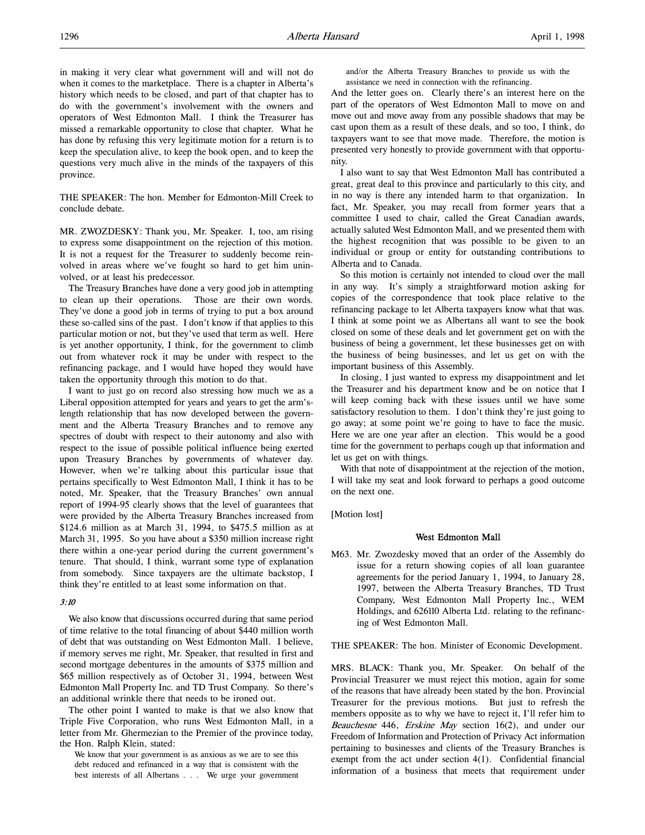in making it very clear what government will and will not do when it comes to the marketplace. There is a chapter in Alberta's history which needs to be closed, and part of that chapter has to do with the government's involvement with the owners and operators of West Edmonton Mall. I think the Treasurer has missed a remarkable opportunity to close that chapter. What he has done by refusing this very legitimate motion for a return is to keep the speculation alive, to keep the book open, and to keep the questions very much alive in the minds of the taxpayers of this province.

THE SPEAKER: The hon. Member for Edmonton-Mill Creek to conclude debate.

MR. ZWOZDESKY: Thank you, Mr. Speaker. I, too, am rising to express some disappointment on the rejection of this motion. It is not a request for the Treasurer to suddenly become reinvolved in areas where we've fought so hard to get him uninvolved, or at least his predecessor.

The Treasury Branches have done a very good job in attempting to clean up their operations. Those are their own words. They've done a good job in terms of trying to put a box around these so-called sins of the past. I don't know if that applies to this particular motion or not, but they've used that term as well. Here is yet another opportunity, I think, for the government to climb out from whatever rock it may be under with respect to the refinancing package, and I would have hoped they would have taken the opportunity through this motion to do that.

I want to just go on record also stressing how much we as a Liberal opposition attempted for years and years to get the arm'slength relationship that has now developed between the government and the Alberta Treasury Branches and to remove any spectres of doubt with respect to their autonomy and also with respect to the issue of possible political influence being exerted upon Treasury Branches by governments of whatever day. However, when we're talking about this particular issue that pertains specifically to West Edmonton Mall, I think it has to be noted, Mr. Speaker, that the Treasury Branches' own annual report of 1994-95 clearly shows that the level of guarantees that were provided by the Alberta Treasury Branches increased from \$124.6 million as at March 31, 1994, to \$475.5 million as at March 31, 1995. So you have about a \$350 million increase right there within a one-year period during the current government's tenure. That should, I think, warrant some type of explanation from somebody. Since taxpayers are the ultimate backstop, I think they're entitled to at least some information on that.

# 3:10

We also know that discussions occurred during that same period of time relative to the total financing of about \$440 million worth of debt that was outstanding on West Edmonton Mall. I believe, if memory serves me right, Mr. Speaker, that resulted in first and second mortgage debentures in the amounts of \$375 million and \$65 million respectively as of October 31, 1994, between West Edmonton Mall Property Inc. and TD Trust Company. So there's an additional wrinkle there that needs to be ironed out.

The other point I wanted to make is that we also know that Triple Five Corporation, who runs West Edmonton Mall, in a letter from Mr. Ghermezian to the Premier of the province today, the Hon. Ralph Klein, stated:

We know that your government is as anxious as we are to see this debt reduced and refinanced in a way that is consistent with the best interests of all Albertans . . . We urge your government and/or the Alberta Treasury Branches to provide us with the assistance we need in connection with the refinancing.

And the letter goes on. Clearly there's an interest here on the part of the operators of West Edmonton Mall to move on and move out and move away from any possible shadows that may be cast upon them as a result of these deals, and so too, I think, do taxpayers want to see that move made. Therefore, the motion is presented very honestly to provide government with that opportunity.

I also want to say that West Edmonton Mall has contributed a great, great deal to this province and particularly to this city, and in no way is there any intended harm to that organization. In fact, Mr. Speaker, you may recall from former years that a committee I used to chair, called the Great Canadian awards, actually saluted West Edmonton Mall, and we presented them with the highest recognition that was possible to be given to an individual or group or entity for outstanding contributions to Alberta and to Canada.

So this motion is certainly not intended to cloud over the mall in any way. It's simply a straightforward motion asking for copies of the correspondence that took place relative to the refinancing package to let Alberta taxpayers know what that was. I think at some point we as Albertans all want to see the book closed on some of these deals and let government get on with the business of being a government, let these businesses get on with the business of being businesses, and let us get on with the important business of this Assembly.

In closing, I just wanted to express my disappointment and let the Treasurer and his department know and be on notice that I will keep coming back with these issues until we have some satisfactory resolution to them. I don't think they're just going to go away; at some point we're going to have to face the music. Here we are one year after an election. This would be a good time for the government to perhaps cough up that information and let us get on with things.

With that note of disappointment at the rejection of the motion, I will take my seat and look forward to perhaps a good outcome on the next one.

[Motion lost]

#### West Edmonton Mall

M63. Mr. Zwozdesky moved that an order of the Assembly do issue for a return showing copies of all loan guarantee agreements for the period January 1, 1994, to January 28, 1997, between the Alberta Treasury Branches, TD Trust Company, West Edmonton Mall Property Inc., WEM Holdings, and 626110 Alberta Ltd. relating to the refinancing of West Edmonton Mall.

THE SPEAKER: The hon. Minister of Economic Development.

MRS. BLACK: Thank you, Mr. Speaker. On behalf of the Provincial Treasurer we must reject this motion, again for some of the reasons that have already been stated by the hon. Provincial Treasurer for the previous motions. But just to refresh the members opposite as to why we have to reject it, I'll refer him to Beauchesne 446, Erskine May section 16(2), and under our Freedom of Information and Protection of Privacy Act information pertaining to businesses and clients of the Treasury Branches is exempt from the act under section 4(1). Confidential financial information of a business that meets that requirement under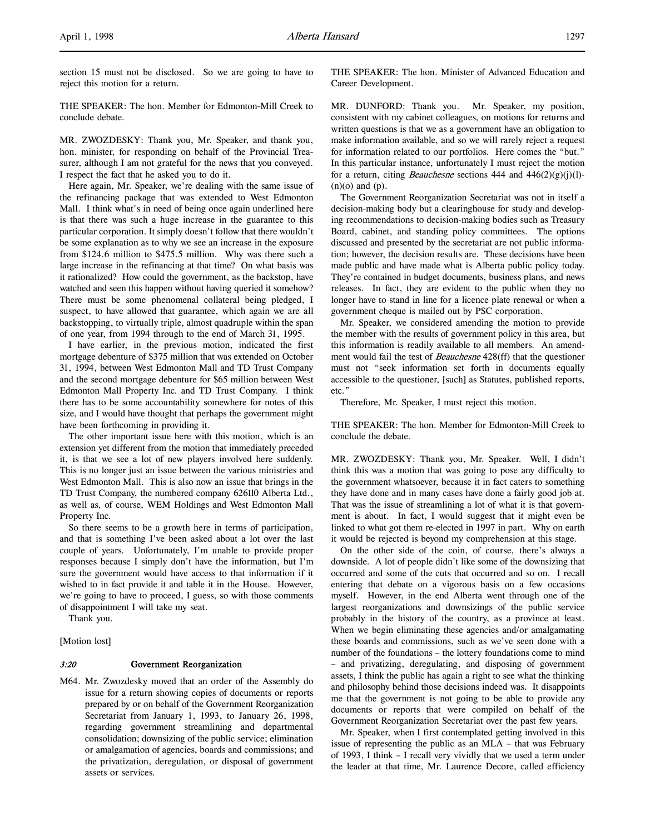section 15 must not be disclosed. So we are going to have to reject this motion for a return.

THE SPEAKER: The hon. Member for Edmonton-Mill Creek to conclude debate.

MR. ZWOZDESKY: Thank you, Mr. Speaker, and thank you, hon. minister, for responding on behalf of the Provincial Treasurer, although I am not grateful for the news that you conveyed. I respect the fact that he asked you to do it.

Here again, Mr. Speaker, we're dealing with the same issue of the refinancing package that was extended to West Edmonton Mall. I think what's in need of being once again underlined here is that there was such a huge increase in the guarantee to this particular corporation. It simply doesn't follow that there wouldn't be some explanation as to why we see an increase in the exposure from \$124.6 million to \$475.5 million. Why was there such a large increase in the refinancing at that time? On what basis was it rationalized? How could the government, as the backstop, have watched and seen this happen without having queried it somehow? There must be some phenomenal collateral being pledged, I suspect, to have allowed that guarantee, which again we are all backstopping, to virtually triple, almost quadruple within the span of one year, from 1994 through to the end of March 31, 1995.

I have earlier, in the previous motion, indicated the first mortgage debenture of \$375 million that was extended on October 31, 1994, between West Edmonton Mall and TD Trust Company and the second mortgage debenture for \$65 million between West Edmonton Mall Property Inc. and TD Trust Company. I think there has to be some accountability somewhere for notes of this size, and I would have thought that perhaps the government might have been forthcoming in providing it.

The other important issue here with this motion, which is an extension yet different from the motion that immediately preceded it, is that we see a lot of new players involved here suddenly. This is no longer just an issue between the various ministries and West Edmonton Mall. This is also now an issue that brings in the TD Trust Company, the numbered company 626110 Alberta Ltd., as well as, of course, WEM Holdings and West Edmonton Mall Property Inc.

So there seems to be a growth here in terms of participation, and that is something I've been asked about a lot over the last couple of years. Unfortunately, I'm unable to provide proper responses because I simply don't have the information, but I'm sure the government would have access to that information if it wished to in fact provide it and table it in the House. However, we're going to have to proceed, I guess, so with those comments of disappointment I will take my seat.

Thank you.

[Motion lost]

### 3:20 Government Reorganization

M64. Mr. Zwozdesky moved that an order of the Assembly do issue for a return showing copies of documents or reports prepared by or on behalf of the Government Reorganization Secretariat from January 1, 1993, to January 26, 1998, regarding government streamlining and departmental consolidation; downsizing of the public service; elimination or amalgamation of agencies, boards and commissions; and the privatization, deregulation, or disposal of government assets or services.

THE SPEAKER: The hon. Minister of Advanced Education and Career Development.

MR. DUNFORD: Thank you. Mr. Speaker, my position, consistent with my cabinet colleagues, on motions for returns and written questions is that we as a government have an obligation to make information available, and so we will rarely reject a request for information related to our portfolios. Here comes the "but." In this particular instance, unfortunately I must reject the motion for a return, citing *Beauchesne* sections 444 and  $446(2)(g)(j)(l)$ -(n)(o) and (p).

The Government Reorganization Secretariat was not in itself a decision-making body but a clearinghouse for study and developing recommendations to decision-making bodies such as Treasury Board, cabinet, and standing policy committees. The options discussed and presented by the secretariat are not public information; however, the decision results are. These decisions have been made public and have made what is Alberta public policy today. They're contained in budget documents, business plans, and news releases. In fact, they are evident to the public when they no longer have to stand in line for a licence plate renewal or when a government cheque is mailed out by PSC corporation.

Mr. Speaker, we considered amending the motion to provide the member with the results of government policy in this area, but this information is readily available to all members. An amendment would fail the test of *Beauchesne* 428(ff) that the questioner must not "seek information set forth in documents equally accessible to the questioner, [such] as Statutes, published reports, etc."

Therefore, Mr. Speaker, I must reject this motion.

THE SPEAKER: The hon. Member for Edmonton-Mill Creek to conclude the debate.

MR. ZWOZDESKY: Thank you, Mr. Speaker. Well, I didn't think this was a motion that was going to pose any difficulty to the government whatsoever, because it in fact caters to something they have done and in many cases have done a fairly good job at. That was the issue of streamlining a lot of what it is that government is about. In fact, I would suggest that it might even be linked to what got them re-elected in 1997 in part. Why on earth it would be rejected is beyond my comprehension at this stage.

On the other side of the coin, of course, there's always a downside. A lot of people didn't like some of the downsizing that occurred and some of the cuts that occurred and so on. I recall entering that debate on a vigorous basis on a few occasions myself. However, in the end Alberta went through one of the largest reorganizations and downsizings of the public service probably in the history of the country, as a province at least. When we begin eliminating these agencies and/or amalgamating these boards and commissions, such as we've seen done with a number of the foundations – the lottery foundations come to mind – and privatizing, deregulating, and disposing of government assets, I think the public has again a right to see what the thinking and philosophy behind those decisions indeed was. It disappoints me that the government is not going to be able to provide any documents or reports that were compiled on behalf of the Government Reorganization Secretariat over the past few years.

Mr. Speaker, when I first contemplated getting involved in this issue of representing the public as an MLA – that was February of 1993, I think – I recall very vividly that we used a term under the leader at that time, Mr. Laurence Decore, called efficiency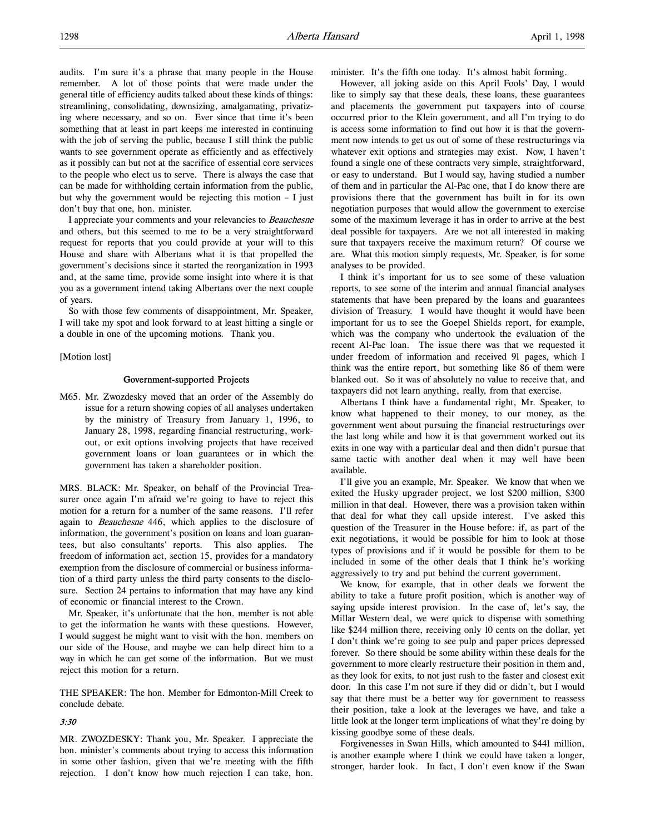audits. I'm sure it's a phrase that many people in the House remember. A lot of those points that were made under the general title of efficiency audits talked about these kinds of things: streamlining, consolidating, downsizing, amalgamating, privatizing where necessary, and so on. Ever since that time it's been something that at least in part keeps me interested in continuing with the job of serving the public, because I still think the public wants to see government operate as efficiently and as effectively as it possibly can but not at the sacrifice of essential core services to the people who elect us to serve. There is always the case that can be made for withholding certain information from the public, but why the government would be rejecting this motion – I just don't buy that one, hon. minister.

I appreciate your comments and your relevancies to Beauchesne and others, but this seemed to me to be a very straightforward request for reports that you could provide at your will to this House and share with Albertans what it is that propelled the government's decisions since it started the reorganization in 1993 and, at the same time, provide some insight into where it is that you as a government intend taking Albertans over the next couple of years.

So with those few comments of disappointment, Mr. Speaker, I will take my spot and look forward to at least hitting a single or a double in one of the upcoming motions. Thank you.

[Motion lost]

#### Government-supported Projects

M65. Mr. Zwozdesky moved that an order of the Assembly do issue for a return showing copies of all analyses undertaken by the ministry of Treasury from January 1, 1996, to January 28, 1998, regarding financial restructuring, workout, or exit options involving projects that have received government loans or loan guarantees or in which the government has taken a shareholder position.

MRS. BLACK: Mr. Speaker, on behalf of the Provincial Treasurer once again I'm afraid we're going to have to reject this motion for a return for a number of the same reasons. I'll refer again to Beauchesne 446, which applies to the disclosure of information, the government's position on loans and loan guarantees, but also consultants' reports. This also applies. The freedom of information act, section 15, provides for a mandatory exemption from the disclosure of commercial or business information of a third party unless the third party consents to the disclosure. Section 24 pertains to information that may have any kind of economic or financial interest to the Crown.

Mr. Speaker, it's unfortunate that the hon. member is not able to get the information he wants with these questions. However, I would suggest he might want to visit with the hon. members on our side of the House, and maybe we can help direct him to a way in which he can get some of the information. But we must reject this motion for a return.

THE SPEAKER: The hon. Member for Edmonton-Mill Creek to conclude debate.

# 3:30

MR. ZWOZDESKY: Thank you, Mr. Speaker. I appreciate the hon. minister's comments about trying to access this information in some other fashion, given that we're meeting with the fifth rejection. I don't know how much rejection I can take, hon.

minister. It's the fifth one today. It's almost habit forming.

However, all joking aside on this April Fools' Day, I would like to simply say that these deals, these loans, these guarantees and placements the government put taxpayers into of course occurred prior to the Klein government, and all I'm trying to do is access some information to find out how it is that the government now intends to get us out of some of these restructurings via whatever exit options and strategies may exist. Now, I haven't found a single one of these contracts very simple, straightforward, or easy to understand. But I would say, having studied a number of them and in particular the Al-Pac one, that I do know there are provisions there that the government has built in for its own negotiation purposes that would allow the government to exercise some of the maximum leverage it has in order to arrive at the best deal possible for taxpayers. Are we not all interested in making sure that taxpayers receive the maximum return? Of course we are. What this motion simply requests, Mr. Speaker, is for some analyses to be provided.

I think it's important for us to see some of these valuation reports, to see some of the interim and annual financial analyses statements that have been prepared by the loans and guarantees division of Treasury. I would have thought it would have been important for us to see the Goepel Shields report, for example, which was the company who undertook the evaluation of the recent Al-Pac loan. The issue there was that we requested it under freedom of information and received 91 pages, which I think was the entire report, but something like 86 of them were blanked out. So it was of absolutely no value to receive that, and taxpayers did not learn anything, really, from that exercise.

Albertans I think have a fundamental right, Mr. Speaker, to know what happened to their money, to our money, as the government went about pursuing the financial restructurings over the last long while and how it is that government worked out its exits in one way with a particular deal and then didn't pursue that same tactic with another deal when it may well have been available.

I'll give you an example, Mr. Speaker. We know that when we exited the Husky upgrader project, we lost \$200 million, \$300 million in that deal. However, there was a provision taken within that deal for what they call upside interest. I've asked this question of the Treasurer in the House before: if, as part of the exit negotiations, it would be possible for him to look at those types of provisions and if it would be possible for them to be included in some of the other deals that I think he's working aggressively to try and put behind the current government.

We know, for example, that in other deals we forwent the ability to take a future profit position, which is another way of saying upside interest provision. In the case of, let's say, the Millar Western deal, we were quick to dispense with something like \$244 million there, receiving only 10 cents on the dollar, yet I don't think we're going to see pulp and paper prices depressed forever. So there should be some ability within these deals for the government to more clearly restructure their position in them and, as they look for exits, to not just rush to the faster and closest exit door. In this case I'm not sure if they did or didn't, but I would say that there must be a better way for government to reassess their position, take a look at the leverages we have, and take a little look at the longer term implications of what they're doing by kissing goodbye some of these deals.

Forgivenesses in Swan Hills, which amounted to \$441 million, is another example where I think we could have taken a longer, stronger, harder look. In fact, I don't even know if the Swan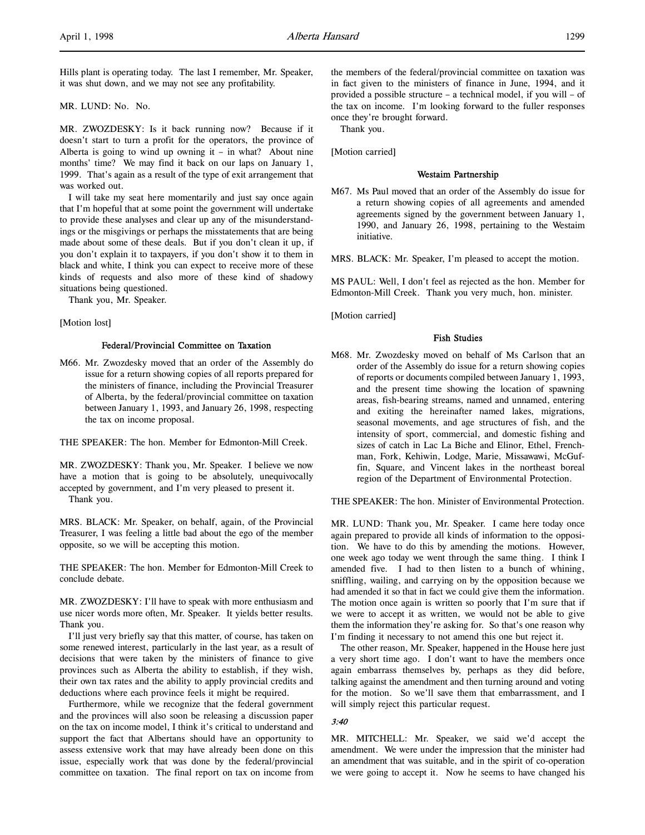Hills plant is operating today. The last I remember, Mr. Speaker, it was shut down, and we may not see any profitability.

MR. LUND: No. No.

MR. ZWOZDESKY: Is it back running now? Because if it doesn't start to turn a profit for the operators, the province of Alberta is going to wind up owning it  $-$  in what? About nine months' time? We may find it back on our laps on January 1, 1999. That's again as a result of the type of exit arrangement that was worked out.

I will take my seat here momentarily and just say once again that I'm hopeful that at some point the government will undertake to provide these analyses and clear up any of the misunderstandings or the misgivings or perhaps the misstatements that are being made about some of these deals. But if you don't clean it up, if you don't explain it to taxpayers, if you don't show it to them in black and white, I think you can expect to receive more of these kinds of requests and also more of these kind of shadowy situations being questioned.

Thank you, Mr. Speaker.

#### [Motion lost]

### Federal/Provincial Committee on Taxation

M66. Mr. Zwozdesky moved that an order of the Assembly do issue for a return showing copies of all reports prepared for the ministers of finance, including the Provincial Treasurer of Alberta, by the federal/provincial committee on taxation between January 1, 1993, and January 26, 1998, respecting the tax on income proposal.

THE SPEAKER: The hon. Member for Edmonton-Mill Creek.

MR. ZWOZDESKY: Thank you, Mr. Speaker. I believe we now have a motion that is going to be absolutely, unequivocally accepted by government, and I'm very pleased to present it. Thank you.

MRS. BLACK: Mr. Speaker, on behalf, again, of the Provincial Treasurer, I was feeling a little bad about the ego of the member opposite, so we will be accepting this motion.

THE SPEAKER: The hon. Member for Edmonton-Mill Creek to conclude debate.

MR. ZWOZDESKY: I'll have to speak with more enthusiasm and use nicer words more often, Mr. Speaker. It yields better results. Thank you.

I'll just very briefly say that this matter, of course, has taken on some renewed interest, particularly in the last year, as a result of decisions that were taken by the ministers of finance to give provinces such as Alberta the ability to establish, if they wish, their own tax rates and the ability to apply provincial credits and deductions where each province feels it might be required.

Furthermore, while we recognize that the federal government and the provinces will also soon be releasing a discussion paper on the tax on income model, I think it's critical to understand and support the fact that Albertans should have an opportunity to assess extensive work that may have already been done on this issue, especially work that was done by the federal/provincial committee on taxation. The final report on tax on income from

the members of the federal/provincial committee on taxation was in fact given to the ministers of finance in June, 1994, and it provided a possible structure – a technical model, if you will – of the tax on income. I'm looking forward to the fuller responses once they're brought forward.

Thank you.

[Motion carried]

# Westaim Partnership

M67. Ms Paul moved that an order of the Assembly do issue for a return showing copies of all agreements and amended agreements signed by the government between January 1, 1990, and January 26, 1998, pertaining to the Westaim initiative.

MRS. BLACK: Mr. Speaker, I'm pleased to accept the motion.

MS PAUL: Well, I don't feel as rejected as the hon. Member for Edmonton-Mill Creek. Thank you very much, hon. minister.

[Motion carried]

#### Fish Studies

M68. Mr. Zwozdesky moved on behalf of Ms Carlson that an order of the Assembly do issue for a return showing copies of reports or documents compiled between January 1, 1993, and the present time showing the location of spawning areas, fish-bearing streams, named and unnamed, entering and exiting the hereinafter named lakes, migrations, seasonal movements, and age structures of fish, and the intensity of sport, commercial, and domestic fishing and sizes of catch in Lac La Biche and Elinor, Ethel, Frenchman, Fork, Kehiwin, Lodge, Marie, Missawawi, McGuffin, Square, and Vincent lakes in the northeast boreal region of the Department of Environmental Protection.

THE SPEAKER: The hon. Minister of Environmental Protection.

MR. LUND: Thank you, Mr. Speaker. I came here today once again prepared to provide all kinds of information to the opposition. We have to do this by amending the motions. However, one week ago today we went through the same thing. I think I amended five. I had to then listen to a bunch of whining, sniffling, wailing, and carrying on by the opposition because we had amended it so that in fact we could give them the information. The motion once again is written so poorly that I'm sure that if we were to accept it as written, we would not be able to give them the information they're asking for. So that's one reason why I'm finding it necessary to not amend this one but reject it.

The other reason, Mr. Speaker, happened in the House here just a very short time ago. I don't want to have the members once again embarrass themselves by, perhaps as they did before, talking against the amendment and then turning around and voting for the motion. So we'll save them that embarrassment, and I will simply reject this particular request.

### 3:40

MR. MITCHELL: Mr. Speaker, we said we'd accept the amendment. We were under the impression that the minister had an amendment that was suitable, and in the spirit of co-operation we were going to accept it. Now he seems to have changed his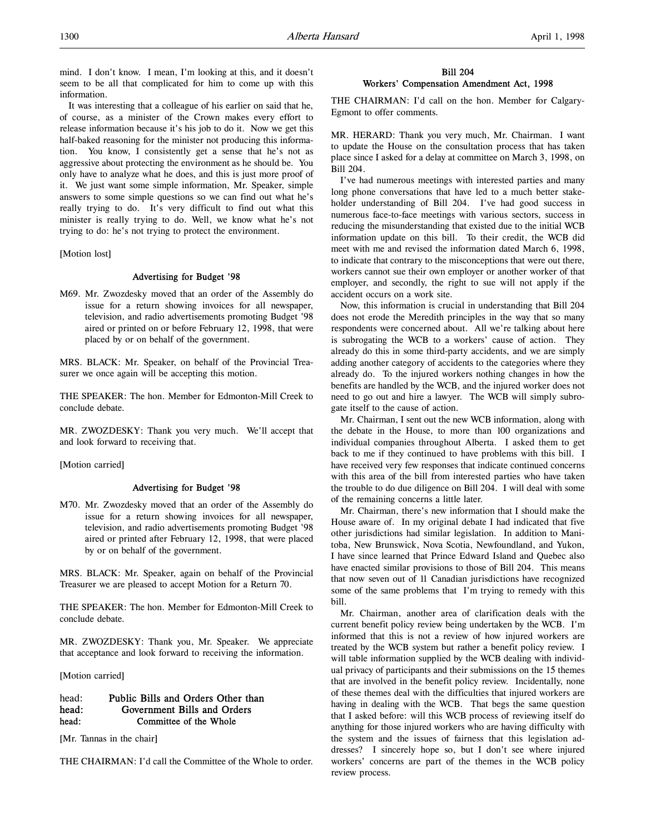mind. I don't know. I mean, I'm looking at this, and it doesn't seem to be all that complicated for him to come up with this information.

It was interesting that a colleague of his earlier on said that he, of course, as a minister of the Crown makes every effort to release information because it's his job to do it. Now we get this half-baked reasoning for the minister not producing this information. You know, I consistently get a sense that he's not as aggressive about protecting the environment as he should be. You only have to analyze what he does, and this is just more proof of it. We just want some simple information, Mr. Speaker, simple answers to some simple questions so we can find out what he's really trying to do. It's very difficult to find out what this minister is really trying to do. Well, we know what he's not trying to do: he's not trying to protect the environment.

[Motion lost]

# Advertising for Budget '98

M69. Mr. Zwozdesky moved that an order of the Assembly do issue for a return showing invoices for all newspaper, television, and radio advertisements promoting Budget '98 aired or printed on or before February 12, 1998, that were placed by or on behalf of the government.

MRS. BLACK: Mr. Speaker, on behalf of the Provincial Treasurer we once again will be accepting this motion.

THE SPEAKER: The hon. Member for Edmonton-Mill Creek to conclude debate.

MR. ZWOZDESKY: Thank you very much. We'll accept that and look forward to receiving that.

[Motion carried]

# Advertising for Budget '98

M70. Mr. Zwozdesky moved that an order of the Assembly do issue for a return showing invoices for all newspaper, television, and radio advertisements promoting Budget '98 aired or printed after February 12, 1998, that were placed by or on behalf of the government.

MRS. BLACK: Mr. Speaker, again on behalf of the Provincial Treasurer we are pleased to accept Motion for a Return 70.

THE SPEAKER: The hon. Member for Edmonton-Mill Creek to conclude debate.

MR. ZWOZDESKY: Thank you, Mr. Speaker. We appreciate that acceptance and look forward to receiving the information.

[Motion carried]

# head: Public Bills and Orders Other than head: Government Bills and Orders head: Committee of the Whole

[Mr. Tannas in the chair]

THE CHAIRMAN: I'd call the Committee of the Whole to order.

# Bill 204 Workers' Compensation Amendment Act, 1998

THE CHAIRMAN: I'd call on the hon. Member for Calgary-Egmont to offer comments.

MR. HERARD: Thank you very much, Mr. Chairman. I want to update the House on the consultation process that has taken place since I asked for a delay at committee on March 3, 1998, on Bill 204.

I've had numerous meetings with interested parties and many long phone conversations that have led to a much better stakeholder understanding of Bill 204. I've had good success in numerous face-to-face meetings with various sectors, success in reducing the misunderstanding that existed due to the initial WCB information update on this bill. To their credit, the WCB did meet with me and revised the information dated March 6, 1998, to indicate that contrary to the misconceptions that were out there, workers cannot sue their own employer or another worker of that employer, and secondly, the right to sue will not apply if the accident occurs on a work site.

Now, this information is crucial in understanding that Bill 204 does not erode the Meredith principles in the way that so many respondents were concerned about. All we're talking about here is subrogating the WCB to a workers' cause of action. They already do this in some third-party accidents, and we are simply adding another category of accidents to the categories where they already do. To the injured workers nothing changes in how the benefits are handled by the WCB, and the injured worker does not need to go out and hire a lawyer. The WCB will simply subrogate itself to the cause of action.

Mr. Chairman, I sent out the new WCB information, along with the debate in the House, to more than 100 organizations and individual companies throughout Alberta. I asked them to get back to me if they continued to have problems with this bill. I have received very few responses that indicate continued concerns with this area of the bill from interested parties who have taken the trouble to do due diligence on Bill 204. I will deal with some of the remaining concerns a little later.

Mr. Chairman, there's new information that I should make the House aware of. In my original debate I had indicated that five other jurisdictions had similar legislation. In addition to Manitoba, New Brunswick, Nova Scotia, Newfoundland, and Yukon, I have since learned that Prince Edward Island and Quebec also have enacted similar provisions to those of Bill 204. This means that now seven out of 11 Canadian jurisdictions have recognized some of the same problems that I'm trying to remedy with this bill.

Mr. Chairman, another area of clarification deals with the current benefit policy review being undertaken by the WCB. I'm informed that this is not a review of how injured workers are treated by the WCB system but rather a benefit policy review. I will table information supplied by the WCB dealing with individual privacy of participants and their submissions on the 15 themes that are involved in the benefit policy review. Incidentally, none of these themes deal with the difficulties that injured workers are having in dealing with the WCB. That begs the same question that I asked before: will this WCB process of reviewing itself do anything for those injured workers who are having difficulty with the system and the issues of fairness that this legislation addresses? I sincerely hope so, but I don't see where injured workers' concerns are part of the themes in the WCB policy review process.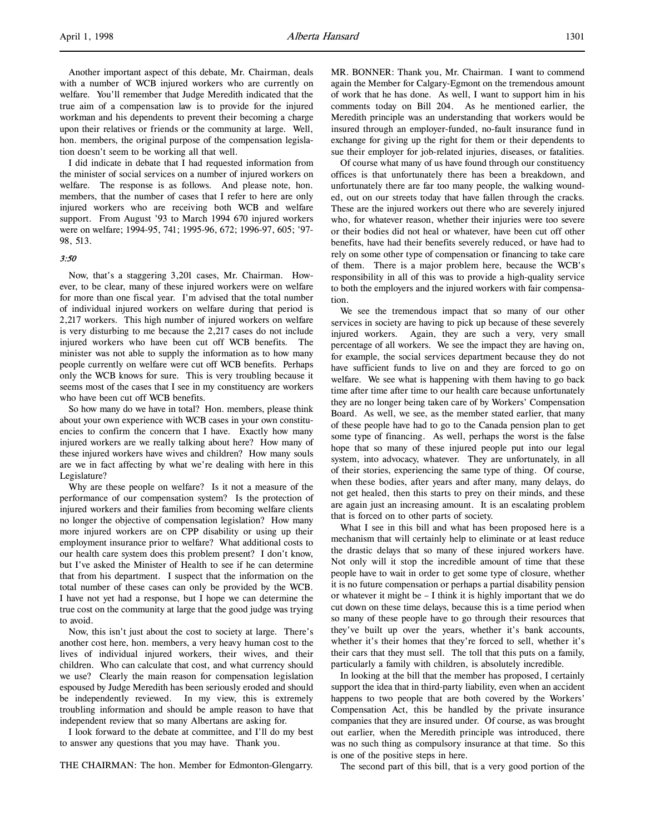Another important aspect of this debate, Mr. Chairman, deals with a number of WCB injured workers who are currently on welfare. You'll remember that Judge Meredith indicated that the true aim of a compensation law is to provide for the injured workman and his dependents to prevent their becoming a charge upon their relatives or friends or the community at large. Well, hon. members, the original purpose of the compensation legislation doesn't seem to be working all that well.

I did indicate in debate that I had requested information from the minister of social services on a number of injured workers on welfare. The response is as follows. And please note, hon. members, that the number of cases that I refer to here are only injured workers who are receiving both WCB and welfare support. From August '93 to March 1994 670 injured workers were on welfare; 1994-95, 741; 1995-96, 672; 1996-97, 605; '97- 98, 513.

### 3:50

Now, that's a staggering 3,201 cases, Mr. Chairman. However, to be clear, many of these injured workers were on welfare for more than one fiscal year. I'm advised that the total number of individual injured workers on welfare during that period is 2,217 workers. This high number of injured workers on welfare is very disturbing to me because the 2,217 cases do not include injured workers who have been cut off WCB benefits. The minister was not able to supply the information as to how many people currently on welfare were cut off WCB benefits. Perhaps only the WCB knows for sure. This is very troubling because it seems most of the cases that I see in my constituency are workers who have been cut off WCB benefits.

So how many do we have in total? Hon. members, please think about your own experience with WCB cases in your own constituencies to confirm the concern that I have. Exactly how many injured workers are we really talking about here? How many of these injured workers have wives and children? How many souls are we in fact affecting by what we're dealing with here in this Legislature?

Why are these people on welfare? Is it not a measure of the performance of our compensation system? Is the protection of injured workers and their families from becoming welfare clients no longer the objective of compensation legislation? How many more injured workers are on CPP disability or using up their employment insurance prior to welfare? What additional costs to our health care system does this problem present? I don't know, but I've asked the Minister of Health to see if he can determine that from his department. I suspect that the information on the total number of these cases can only be provided by the WCB. I have not yet had a response, but I hope we can determine the true cost on the community at large that the good judge was trying to avoid.

Now, this isn't just about the cost to society at large. There's another cost here, hon. members, a very heavy human cost to the lives of individual injured workers, their wives, and their children. Who can calculate that cost, and what currency should we use? Clearly the main reason for compensation legislation espoused by Judge Meredith has been seriously eroded and should be independently reviewed. In my view, this is extremely troubling information and should be ample reason to have that independent review that so many Albertans are asking for.

I look forward to the debate at committee, and I'll do my best to answer any questions that you may have. Thank you.

THE CHAIRMAN: The hon. Member for Edmonton-Glengarry.

MR. BONNER: Thank you, Mr. Chairman. I want to commend again the Member for Calgary-Egmont on the tremendous amount of work that he has done. As well, I want to support him in his comments today on Bill 204. As he mentioned earlier, the Meredith principle was an understanding that workers would be insured through an employer-funded, no-fault insurance fund in exchange for giving up the right for them or their dependents to sue their employer for job-related injuries, diseases, or fatalities.

Of course what many of us have found through our constituency offices is that unfortunately there has been a breakdown, and unfortunately there are far too many people, the walking wounded, out on our streets today that have fallen through the cracks. These are the injured workers out there who are severely injured who, for whatever reason, whether their injuries were too severe or their bodies did not heal or whatever, have been cut off other benefits, have had their benefits severely reduced, or have had to rely on some other type of compensation or financing to take care of them. There is a major problem here, because the WCB's responsibility in all of this was to provide a high-quality service to both the employers and the injured workers with fair compensation.

We see the tremendous impact that so many of our other services in society are having to pick up because of these severely injured workers. Again, they are such a very, very small percentage of all workers. We see the impact they are having on, for example, the social services department because they do not have sufficient funds to live on and they are forced to go on welfare. We see what is happening with them having to go back time after time after time to our health care because unfortunately they are no longer being taken care of by Workers' Compensation Board. As well, we see, as the member stated earlier, that many of these people have had to go to the Canada pension plan to get some type of financing. As well, perhaps the worst is the false hope that so many of these injured people put into our legal system, into advocacy, whatever. They are unfortunately, in all of their stories, experiencing the same type of thing. Of course, when these bodies, after years and after many, many delays, do not get healed, then this starts to prey on their minds, and these are again just an increasing amount. It is an escalating problem that is forced on to other parts of society.

What I see in this bill and what has been proposed here is a mechanism that will certainly help to eliminate or at least reduce the drastic delays that so many of these injured workers have. Not only will it stop the incredible amount of time that these people have to wait in order to get some type of closure, whether it is no future compensation or perhaps a partial disability pension or whatever it might be – I think it is highly important that we do cut down on these time delays, because this is a time period when so many of these people have to go through their resources that they've built up over the years, whether it's bank accounts, whether it's their homes that they're forced to sell, whether it's their cars that they must sell. The toll that this puts on a family, particularly a family with children, is absolutely incredible.

In looking at the bill that the member has proposed, I certainly support the idea that in third-party liability, even when an accident happens to two people that are both covered by the Workers' Compensation Act, this be handled by the private insurance companies that they are insured under. Of course, as was brought out earlier, when the Meredith principle was introduced, there was no such thing as compulsory insurance at that time. So this is one of the positive steps in here.

The second part of this bill, that is a very good portion of the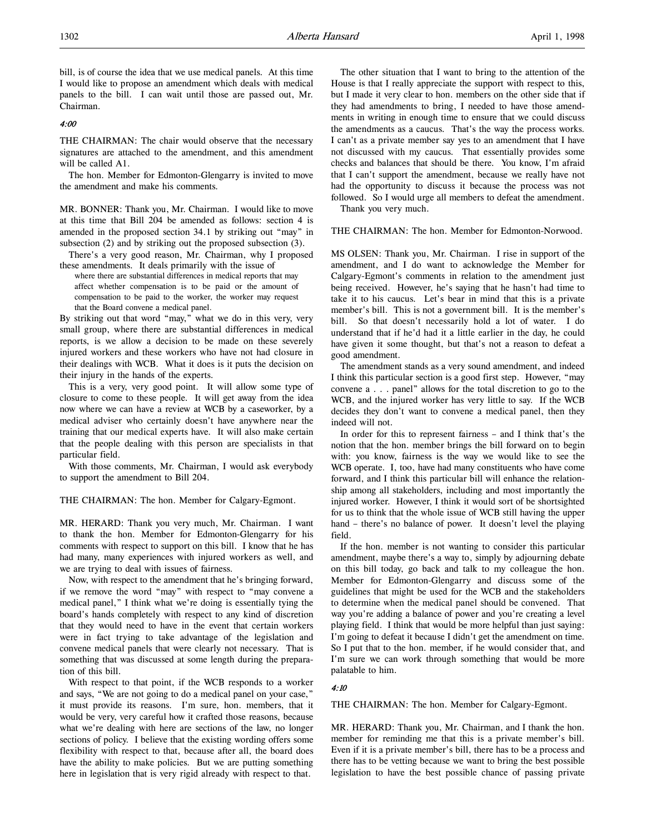bill, is of course the idea that we use medical panels. At this time I would like to propose an amendment which deals with medical panels to the bill. I can wait until those are passed out, Mr. Chairman.

### 4:00

THE CHAIRMAN: The chair would observe that the necessary signatures are attached to the amendment, and this amendment will be called A1.

The hon. Member for Edmonton-Glengarry is invited to move the amendment and make his comments.

MR. BONNER: Thank you, Mr. Chairman. I would like to move at this time that Bill 204 be amended as follows: section 4 is amended in the proposed section 34.1 by striking out "may" in subsection (2) and by striking out the proposed subsection (3).

There's a very good reason, Mr. Chairman, why I proposed these amendments. It deals primarily with the issue of

where there are substantial differences in medical reports that may affect whether compensation is to be paid or the amount of compensation to be paid to the worker, the worker may request that the Board convene a medical panel.

By striking out that word "may," what we do in this very, very small group, where there are substantial differences in medical reports, is we allow a decision to be made on these severely injured workers and these workers who have not had closure in their dealings with WCB. What it does is it puts the decision on their injury in the hands of the experts.

This is a very, very good point. It will allow some type of closure to come to these people. It will get away from the idea now where we can have a review at WCB by a caseworker, by a medical adviser who certainly doesn't have anywhere near the training that our medical experts have. It will also make certain that the people dealing with this person are specialists in that particular field.

With those comments, Mr. Chairman, I would ask everybody to support the amendment to Bill 204.

THE CHAIRMAN: The hon. Member for Calgary-Egmont.

MR. HERARD: Thank you very much, Mr. Chairman. I want to thank the hon. Member for Edmonton-Glengarry for his comments with respect to support on this bill. I know that he has had many, many experiences with injured workers as well, and we are trying to deal with issues of fairness.

Now, with respect to the amendment that he's bringing forward, if we remove the word "may" with respect to "may convene a medical panel," I think what we're doing is essentially tying the board's hands completely with respect to any kind of discretion that they would need to have in the event that certain workers were in fact trying to take advantage of the legislation and convene medical panels that were clearly not necessary. That is something that was discussed at some length during the preparation of this bill.

With respect to that point, if the WCB responds to a worker and says, "We are not going to do a medical panel on your case," it must provide its reasons. I'm sure, hon. members, that it would be very, very careful how it crafted those reasons, because what we're dealing with here are sections of the law, no longer sections of policy. I believe that the existing wording offers some flexibility with respect to that, because after all, the board does have the ability to make policies. But we are putting something here in legislation that is very rigid already with respect to that.

The other situation that I want to bring to the attention of the House is that I really appreciate the support with respect to this, but I made it very clear to hon. members on the other side that if they had amendments to bring, I needed to have those amendments in writing in enough time to ensure that we could discuss the amendments as a caucus. That's the way the process works. I can't as a private member say yes to an amendment that I have not discussed with my caucus. That essentially provides some checks and balances that should be there. You know, I'm afraid that I can't support the amendment, because we really have not had the opportunity to discuss it because the process was not followed. So I would urge all members to defeat the amendment. Thank you very much.

THE CHAIRMAN: The hon. Member for Edmonton-Norwood.

MS OLSEN: Thank you, Mr. Chairman. I rise in support of the amendment, and I do want to acknowledge the Member for Calgary-Egmont's comments in relation to the amendment just being received. However, he's saying that he hasn't had time to take it to his caucus. Let's bear in mind that this is a private member's bill. This is not a government bill. It is the member's bill. So that doesn't necessarily hold a lot of water. I do understand that if he'd had it a little earlier in the day, he could have given it some thought, but that's not a reason to defeat a good amendment.

The amendment stands as a very sound amendment, and indeed I think this particular section is a good first step. However, "may convene a . . . panel" allows for the total discretion to go to the WCB, and the injured worker has very little to say. If the WCB decides they don't want to convene a medical panel, then they indeed will not.

In order for this to represent fairness – and I think that's the notion that the hon. member brings the bill forward on to begin with: you know, fairness is the way we would like to see the WCB operate. I, too, have had many constituents who have come forward, and I think this particular bill will enhance the relationship among all stakeholders, including and most importantly the injured worker. However, I think it would sort of be shortsighted for us to think that the whole issue of WCB still having the upper hand – there's no balance of power. It doesn't level the playing field.

If the hon. member is not wanting to consider this particular amendment, maybe there's a way to, simply by adjourning debate on this bill today, go back and talk to my colleague the hon. Member for Edmonton-Glengarry and discuss some of the guidelines that might be used for the WCB and the stakeholders to determine when the medical panel should be convened. That way you're adding a balance of power and you're creating a level playing field. I think that would be more helpful than just saying: I'm going to defeat it because I didn't get the amendment on time. So I put that to the hon. member, if he would consider that, and I'm sure we can work through something that would be more palatable to him.

#### 4:10

THE CHAIRMAN: The hon. Member for Calgary-Egmont.

MR. HERARD: Thank you, Mr. Chairman, and I thank the hon. member for reminding me that this is a private member's bill. Even if it is a private member's bill, there has to be a process and there has to be vetting because we want to bring the best possible legislation to have the best possible chance of passing private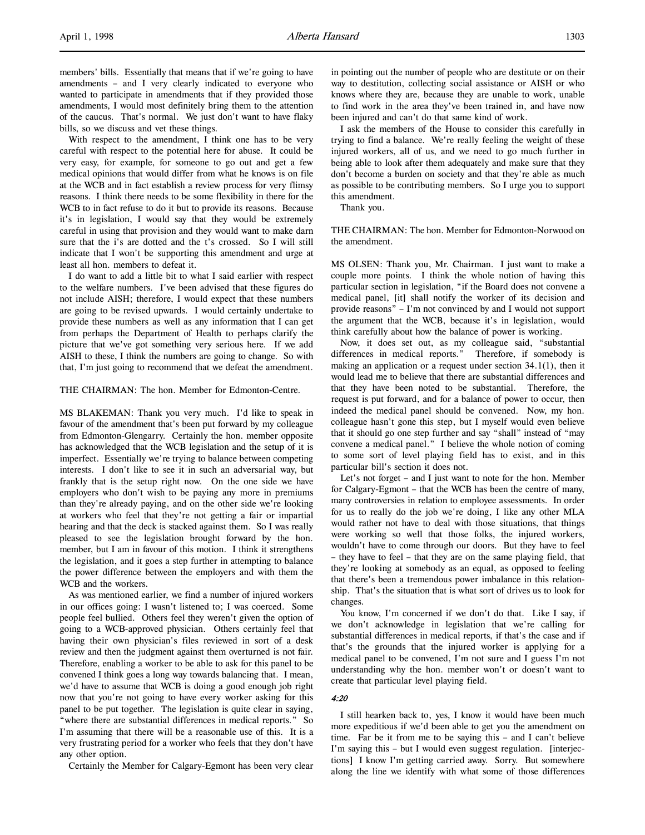members' bills. Essentially that means that if we're going to have amendments – and I very clearly indicated to everyone who wanted to participate in amendments that if they provided those amendments, I would most definitely bring them to the attention of the caucus. That's normal. We just don't want to have flaky bills, so we discuss and vet these things.

With respect to the amendment, I think one has to be very careful with respect to the potential here for abuse. It could be very easy, for example, for someone to go out and get a few medical opinions that would differ from what he knows is on file at the WCB and in fact establish a review process for very flimsy reasons. I think there needs to be some flexibility in there for the WCB to in fact refuse to do it but to provide its reasons. Because it's in legislation, I would say that they would be extremely careful in using that provision and they would want to make darn sure that the i's are dotted and the t's crossed. So I will still indicate that I won't be supporting this amendment and urge at least all hon. members to defeat it.

I do want to add a little bit to what I said earlier with respect to the welfare numbers. I've been advised that these figures do not include AISH; therefore, I would expect that these numbers are going to be revised upwards. I would certainly undertake to provide these numbers as well as any information that I can get from perhaps the Department of Health to perhaps clarify the picture that we've got something very serious here. If we add AISH to these, I think the numbers are going to change. So with that, I'm just going to recommend that we defeat the amendment.

### THE CHAIRMAN: The hon. Member for Edmonton-Centre.

MS BLAKEMAN: Thank you very much. I'd like to speak in favour of the amendment that's been put forward by my colleague from Edmonton-Glengarry. Certainly the hon. member opposite has acknowledged that the WCB legislation and the setup of it is imperfect. Essentially we're trying to balance between competing interests. I don't like to see it in such an adversarial way, but frankly that is the setup right now. On the one side we have employers who don't wish to be paying any more in premiums than they're already paying, and on the other side we're looking at workers who feel that they're not getting a fair or impartial hearing and that the deck is stacked against them. So I was really pleased to see the legislation brought forward by the hon. member, but I am in favour of this motion. I think it strengthens the legislation, and it goes a step further in attempting to balance the power difference between the employers and with them the WCB and the workers.

As was mentioned earlier, we find a number of injured workers in our offices going: I wasn't listened to; I was coerced. Some people feel bullied. Others feel they weren't given the option of going to a WCB-approved physician. Others certainly feel that having their own physician's files reviewed in sort of a desk review and then the judgment against them overturned is not fair. Therefore, enabling a worker to be able to ask for this panel to be convened I think goes a long way towards balancing that. I mean, we'd have to assume that WCB is doing a good enough job right now that you're not going to have every worker asking for this panel to be put together. The legislation is quite clear in saying, "where there are substantial differences in medical reports." So I'm assuming that there will be a reasonable use of this. It is a very frustrating period for a worker who feels that they don't have any other option.

Certainly the Member for Calgary-Egmont has been very clear

in pointing out the number of people who are destitute or on their way to destitution, collecting social assistance or AISH or who knows where they are, because they are unable to work, unable to find work in the area they've been trained in, and have now been injured and can't do that same kind of work.

I ask the members of the House to consider this carefully in trying to find a balance. We're really feeling the weight of these injured workers, all of us, and we need to go much further in being able to look after them adequately and make sure that they don't become a burden on society and that they're able as much as possible to be contributing members. So I urge you to support this amendment.

Thank you.

THE CHAIRMAN: The hon. Member for Edmonton-Norwood on the amendment.

MS OLSEN: Thank you, Mr. Chairman. I just want to make a couple more points. I think the whole notion of having this particular section in legislation, "if the Board does not convene a medical panel, [it] shall notify the worker of its decision and provide reasons" – I'm not convinced by and I would not support the argument that the WCB, because it's in legislation, would think carefully about how the balance of power is working.

Now, it does set out, as my colleague said, "substantial differences in medical reports." Therefore, if somebody is making an application or a request under section 34.1(1), then it would lead me to believe that there are substantial differences and that they have been noted to be substantial. Therefore, the request is put forward, and for a balance of power to occur, then indeed the medical panel should be convened. Now, my hon. colleague hasn't gone this step, but I myself would even believe that it should go one step further and say "shall" instead of "may convene a medical panel." I believe the whole notion of coming to some sort of level playing field has to exist, and in this particular bill's section it does not.

Let's not forget – and I just want to note for the hon. Member for Calgary-Egmont – that the WCB has been the centre of many, many controversies in relation to employee assessments. In order for us to really do the job we're doing, I like any other MLA would rather not have to deal with those situations, that things were working so well that those folks, the injured workers, wouldn't have to come through our doors. But they have to feel – they have to feel – that they are on the same playing field, that they're looking at somebody as an equal, as opposed to feeling that there's been a tremendous power imbalance in this relationship. That's the situation that is what sort of drives us to look for changes.

You know, I'm concerned if we don't do that. Like I say, if we don't acknowledge in legislation that we're calling for substantial differences in medical reports, if that's the case and if that's the grounds that the injured worker is applying for a medical panel to be convened, I'm not sure and I guess I'm not understanding why the hon. member won't or doesn't want to create that particular level playing field.

#### 4:20

I still hearken back to, yes, I know it would have been much more expeditious if we'd been able to get you the amendment on time. Far be it from me to be saying this – and I can't believe I'm saying this – but I would even suggest regulation. [interjections] I know I'm getting carried away. Sorry. But somewhere along the line we identify with what some of those differences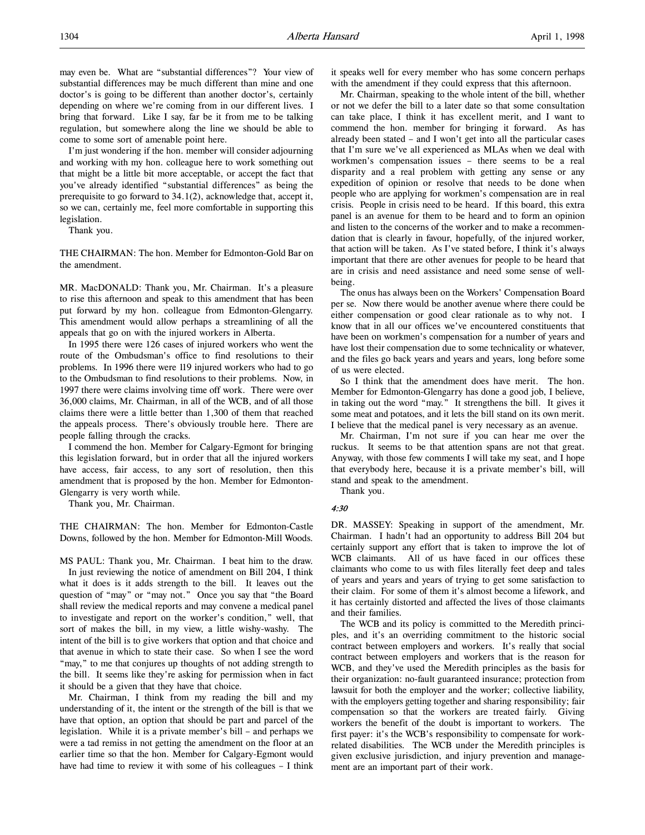come to some sort of amenable point here. I'm just wondering if the hon. member will consider adjourning and working with my hon. colleague here to work something out that might be a little bit more acceptable, or accept the fact that you've already identified "substantial differences" as being the prerequisite to go forward to 34.1(2), acknowledge that, accept it, so we can, certainly me, feel more comfortable in supporting this legislation.

Thank you.

THE CHAIRMAN: The hon. Member for Edmonton-Gold Bar on the amendment.

MR. MacDONALD: Thank you, Mr. Chairman. It's a pleasure to rise this afternoon and speak to this amendment that has been put forward by my hon. colleague from Edmonton-Glengarry. This amendment would allow perhaps a streamlining of all the appeals that go on with the injured workers in Alberta.

In 1995 there were 126 cases of injured workers who went the route of the Ombudsman's office to find resolutions to their problems. In 1996 there were 119 injured workers who had to go to the Ombudsman to find resolutions to their problems. Now, in 1997 there were claims involving time off work. There were over 36,000 claims, Mr. Chairman, in all of the WCB, and of all those claims there were a little better than 1,300 of them that reached the appeals process. There's obviously trouble here. There are people falling through the cracks.

I commend the hon. Member for Calgary-Egmont for bringing this legislation forward, but in order that all the injured workers have access, fair access, to any sort of resolution, then this amendment that is proposed by the hon. Member for Edmonton-Glengarry is very worth while.

Thank you, Mr. Chairman.

THE CHAIRMAN: The hon. Member for Edmonton-Castle Downs, followed by the hon. Member for Edmonton-Mill Woods.

MS PAUL: Thank you, Mr. Chairman. I beat him to the draw.

In just reviewing the notice of amendment on Bill 204, I think what it does is it adds strength to the bill. It leaves out the question of "may" or "may not." Once you say that "the Board shall review the medical reports and may convene a medical panel to investigate and report on the worker's condition," well, that sort of makes the bill, in my view, a little wishy-washy. The intent of the bill is to give workers that option and that choice and that avenue in which to state their case. So when I see the word "may," to me that conjures up thoughts of not adding strength to the bill. It seems like they're asking for permission when in fact it should be a given that they have that choice.

Mr. Chairman, I think from my reading the bill and my understanding of it, the intent or the strength of the bill is that we have that option, an option that should be part and parcel of the legislation. While it is a private member's bill – and perhaps we were a tad remiss in not getting the amendment on the floor at an earlier time so that the hon. Member for Calgary-Egmont would have had time to review it with some of his colleagues – I think it speaks well for every member who has some concern perhaps with the amendment if they could express that this afternoon.

Mr. Chairman, speaking to the whole intent of the bill, whether or not we defer the bill to a later date so that some consultation can take place, I think it has excellent merit, and I want to commend the hon. member for bringing it forward. As has already been stated – and I won't get into all the particular cases that I'm sure we've all experienced as MLAs when we deal with workmen's compensation issues – there seems to be a real disparity and a real problem with getting any sense or any expedition of opinion or resolve that needs to be done when people who are applying for workmen's compensation are in real crisis. People in crisis need to be heard. If this board, this extra panel is an avenue for them to be heard and to form an opinion and listen to the concerns of the worker and to make a recommendation that is clearly in favour, hopefully, of the injured worker, that action will be taken. As I've stated before, I think it's always important that there are other avenues for people to be heard that are in crisis and need assistance and need some sense of wellbeing.

The onus has always been on the Workers' Compensation Board per se. Now there would be another avenue where there could be either compensation or good clear rationale as to why not. I know that in all our offices we've encountered constituents that have been on workmen's compensation for a number of years and have lost their compensation due to some technicality or whatever, and the files go back years and years and years, long before some of us were elected.

So I think that the amendment does have merit. The hon. Member for Edmonton-Glengarry has done a good job, I believe, in taking out the word "may." It strengthens the bill. It gives it some meat and potatoes, and it lets the bill stand on its own merit. I believe that the medical panel is very necessary as an avenue.

Mr. Chairman, I'm not sure if you can hear me over the ruckus. It seems to be that attention spans are not that great. Anyway, with those few comments I will take my seat, and I hope that everybody here, because it is a private member's bill, will stand and speak to the amendment.

Thank you.

# 4:30

DR. MASSEY: Speaking in support of the amendment, Mr. Chairman. I hadn't had an opportunity to address Bill 204 but certainly support any effort that is taken to improve the lot of WCB claimants. All of us have faced in our offices these claimants who come to us with files literally feet deep and tales of years and years and years of trying to get some satisfaction to their claim. For some of them it's almost become a lifework, and it has certainly distorted and affected the lives of those claimants and their families.

The WCB and its policy is committed to the Meredith principles, and it's an overriding commitment to the historic social contract between employers and workers. It's really that social contract between employers and workers that is the reason for WCB, and they've used the Meredith principles as the basis for their organization: no-fault guaranteed insurance; protection from lawsuit for both the employer and the worker; collective liability, with the employers getting together and sharing responsibility; fair compensation so that the workers are treated fairly. Giving workers the benefit of the doubt is important to workers. The first payer: it's the WCB's responsibility to compensate for workrelated disabilities. The WCB under the Meredith principles is given exclusive jurisdiction, and injury prevention and management are an important part of their work.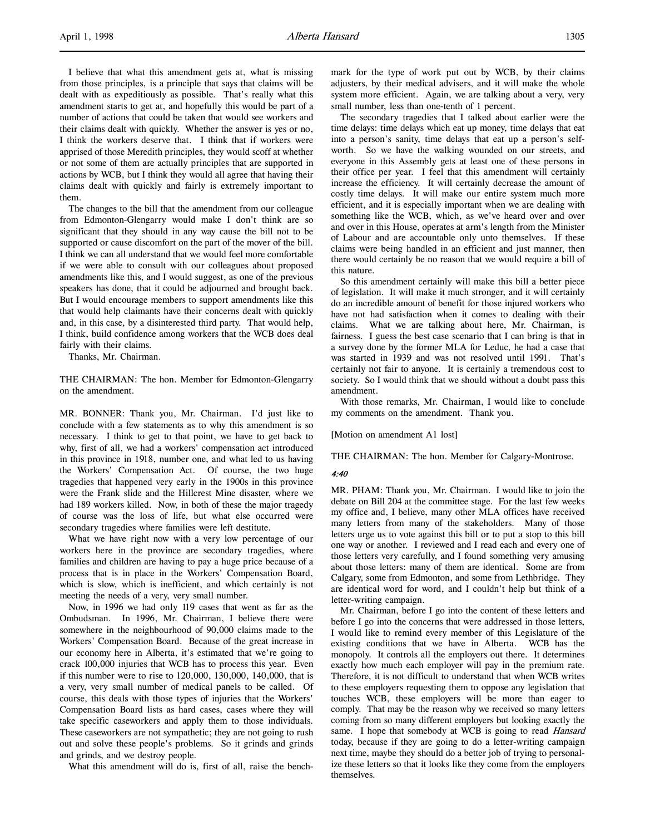I believe that what this amendment gets at, what is missing from those principles, is a principle that says that claims will be dealt with as expeditiously as possible. That's really what this amendment starts to get at, and hopefully this would be part of a number of actions that could be taken that would see workers and their claims dealt with quickly. Whether the answer is yes or no, I think the workers deserve that. I think that if workers were apprised of those Meredith principles, they would scoff at whether or not some of them are actually principles that are supported in actions by WCB, but I think they would all agree that having their claims dealt with quickly and fairly is extremely important to them.

The changes to the bill that the amendment from our colleague from Edmonton-Glengarry would make I don't think are so significant that they should in any way cause the bill not to be supported or cause discomfort on the part of the mover of the bill. I think we can all understand that we would feel more comfortable if we were able to consult with our colleagues about proposed amendments like this, and I would suggest, as one of the previous speakers has done, that it could be adjourned and brought back. But I would encourage members to support amendments like this that would help claimants have their concerns dealt with quickly and, in this case, by a disinterested third party. That would help, I think, build confidence among workers that the WCB does deal fairly with their claims.

Thanks, Mr. Chairman.

THE CHAIRMAN: The hon. Member for Edmonton-Glengarry on the amendment.

MR. BONNER: Thank you, Mr. Chairman. I'd just like to conclude with a few statements as to why this amendment is so necessary. I think to get to that point, we have to get back to why, first of all, we had a workers' compensation act introduced in this province in 1918, number one, and what led to us having the Workers' Compensation Act. Of course, the two huge tragedies that happened very early in the 1900s in this province were the Frank slide and the Hillcrest Mine disaster, where we had 189 workers killed. Now, in both of these the major tragedy of course was the loss of life, but what else occurred were secondary tragedies where families were left destitute.

What we have right now with a very low percentage of our workers here in the province are secondary tragedies, where families and children are having to pay a huge price because of a process that is in place in the Workers' Compensation Board, which is slow, which is inefficient, and which certainly is not meeting the needs of a very, very small number.

Now, in 1996 we had only 119 cases that went as far as the Ombudsman. In 1996, Mr. Chairman, I believe there were somewhere in the neighbourhood of 90,000 claims made to the Workers' Compensation Board. Because of the great increase in our economy here in Alberta, it's estimated that we're going to crack 100,000 injuries that WCB has to process this year. Even if this number were to rise to 120,000, 130,000, 140,000, that is a very, very small number of medical panels to be called. Of course, this deals with those types of injuries that the Workers' Compensation Board lists as hard cases, cases where they will take specific caseworkers and apply them to those individuals. These caseworkers are not sympathetic; they are not going to rush out and solve these people's problems. So it grinds and grinds and grinds, and we destroy people.

What this amendment will do is, first of all, raise the bench-

mark for the type of work put out by WCB, by their claims adjusters, by their medical advisers, and it will make the whole system more efficient. Again, we are talking about a very, very small number, less than one-tenth of 1 percent.

The secondary tragedies that I talked about earlier were the time delays: time delays which eat up money, time delays that eat into a person's sanity, time delays that eat up a person's selfworth. So we have the walking wounded on our streets, and everyone in this Assembly gets at least one of these persons in their office per year. I feel that this amendment will certainly increase the efficiency. It will certainly decrease the amount of costly time delays. It will make our entire system much more efficient, and it is especially important when we are dealing with something like the WCB, which, as we've heard over and over and over in this House, operates at arm's length from the Minister of Labour and are accountable only unto themselves. If these claims were being handled in an efficient and just manner, then there would certainly be no reason that we would require a bill of this nature.

So this amendment certainly will make this bill a better piece of legislation. It will make it much stronger, and it will certainly do an incredible amount of benefit for those injured workers who have not had satisfaction when it comes to dealing with their claims. What we are talking about here, Mr. Chairman, is fairness. I guess the best case scenario that I can bring is that in a survey done by the former MLA for Leduc, he had a case that was started in 1939 and was not resolved until 1991. That's certainly not fair to anyone. It is certainly a tremendous cost to society. So I would think that we should without a doubt pass this amendment.

With those remarks, Mr. Chairman, I would like to conclude my comments on the amendment. Thank you.

[Motion on amendment A1 lost]

THE CHAIRMAN: The hon. Member for Calgary-Montrose.

#### 4:40

MR. PHAM: Thank you, Mr. Chairman. I would like to join the debate on Bill 204 at the committee stage. For the last few weeks my office and, I believe, many other MLA offices have received many letters from many of the stakeholders. Many of those letters urge us to vote against this bill or to put a stop to this bill one way or another. I reviewed and I read each and every one of those letters very carefully, and I found something very amusing about those letters: many of them are identical. Some are from Calgary, some from Edmonton, and some from Lethbridge. They are identical word for word, and I couldn't help but think of a letter-writing campaign.

Mr. Chairman, before I go into the content of these letters and before I go into the concerns that were addressed in those letters, I would like to remind every member of this Legislature of the existing conditions that we have in Alberta. WCB has the monopoly. It controls all the employers out there. It determines exactly how much each employer will pay in the premium rate. Therefore, it is not difficult to understand that when WCB writes to these employers requesting them to oppose any legislation that touches WCB, these employers will be more than eager to comply. That may be the reason why we received so many letters coming from so many different employers but looking exactly the same. I hope that somebody at WCB is going to read Hansard today, because if they are going to do a letter-writing campaign next time, maybe they should do a better job of trying to personalize these letters so that it looks like they come from the employers themselves.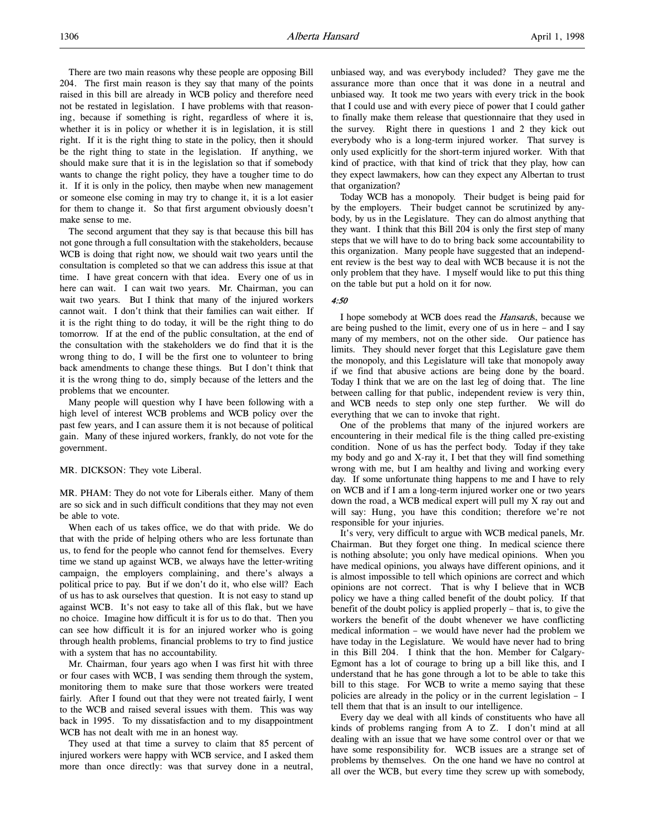There are two main reasons why these people are opposing Bill 204. The first main reason is they say that many of the points raised in this bill are already in WCB policy and therefore need not be restated in legislation. I have problems with that reasoning, because if something is right, regardless of where it is, whether it is in policy or whether it is in legislation, it is still right. If it is the right thing to state in the policy, then it should be the right thing to state in the legislation. If anything, we should make sure that it is in the legislation so that if somebody wants to change the right policy, they have a tougher time to do it. If it is only in the policy, then maybe when new management or someone else coming in may try to change it, it is a lot easier for them to change it. So that first argument obviously doesn't make sense to me.

The second argument that they say is that because this bill has not gone through a full consultation with the stakeholders, because WCB is doing that right now, we should wait two years until the consultation is completed so that we can address this issue at that time. I have great concern with that idea. Every one of us in here can wait. I can wait two years. Mr. Chairman, you can wait two years. But I think that many of the injured workers cannot wait. I don't think that their families can wait either. If it is the right thing to do today, it will be the right thing to do tomorrow. If at the end of the public consultation, at the end of the consultation with the stakeholders we do find that it is the wrong thing to do, I will be the first one to volunteer to bring back amendments to change these things. But I don't think that it is the wrong thing to do, simply because of the letters and the problems that we encounter.

Many people will question why I have been following with a high level of interest WCB problems and WCB policy over the past few years, and I can assure them it is not because of political gain. Many of these injured workers, frankly, do not vote for the government.

MR. DICKSON: They vote Liberal.

MR. PHAM: They do not vote for Liberals either. Many of them are so sick and in such difficult conditions that they may not even be able to vote.

When each of us takes office, we do that with pride. We do that with the pride of helping others who are less fortunate than us, to fend for the people who cannot fend for themselves. Every time we stand up against WCB, we always have the letter-writing campaign, the employers complaining, and there's always a political price to pay. But if we don't do it, who else will? Each of us has to ask ourselves that question. It is not easy to stand up against WCB. It's not easy to take all of this flak, but we have no choice. Imagine how difficult it is for us to do that. Then you can see how difficult it is for an injured worker who is going through health problems, financial problems to try to find justice with a system that has no accountability.

Mr. Chairman, four years ago when I was first hit with three or four cases with WCB, I was sending them through the system, monitoring them to make sure that those workers were treated fairly. After I found out that they were not treated fairly, I went to the WCB and raised several issues with them. This was way back in 1995. To my dissatisfaction and to my disappointment WCB has not dealt with me in an honest way.

They used at that time a survey to claim that 85 percent of injured workers were happy with WCB service, and I asked them more than once directly: was that survey done in a neutral,

unbiased way, and was everybody included? They gave me the assurance more than once that it was done in a neutral and unbiased way. It took me two years with every trick in the book that I could use and with every piece of power that I could gather to finally make them release that questionnaire that they used in the survey. Right there in questions 1 and 2 they kick out everybody who is a long-term injured worker. That survey is only used explicitly for the short-term injured worker. With that kind of practice, with that kind of trick that they play, how can they expect lawmakers, how can they expect any Albertan to trust that organization?

Today WCB has a monopoly. Their budget is being paid for by the employers. Their budget cannot be scrutinized by anybody, by us in the Legislature. They can do almost anything that they want. I think that this Bill 204 is only the first step of many steps that we will have to do to bring back some accountability to this organization. Many people have suggested that an independent review is the best way to deal with WCB because it is not the only problem that they have. I myself would like to put this thing on the table but put a hold on it for now.

### 4:50

I hope somebody at WCB does read the *Hansards*, because we are being pushed to the limit, every one of us in here – and I say many of my members, not on the other side. Our patience has limits. They should never forget that this Legislature gave them the monopoly, and this Legislature will take that monopoly away if we find that abusive actions are being done by the board. Today I think that we are on the last leg of doing that. The line between calling for that public, independent review is very thin, and WCB needs to step only one step further. We will do everything that we can to invoke that right.

One of the problems that many of the injured workers are encountering in their medical file is the thing called pre-existing condition. None of us has the perfect body. Today if they take my body and go and X-ray it, I bet that they will find something wrong with me, but I am healthy and living and working every day. If some unfortunate thing happens to me and I have to rely on WCB and if I am a long-term injured worker one or two years down the road, a WCB medical expert will pull my X ray out and will say: Hung, you have this condition; therefore we're not responsible for your injuries.

It's very, very difficult to argue with WCB medical panels, Mr. Chairman. But they forget one thing. In medical science there is nothing absolute; you only have medical opinions. When you have medical opinions, you always have different opinions, and it is almost impossible to tell which opinions are correct and which opinions are not correct. That is why I believe that in WCB policy we have a thing called benefit of the doubt policy. If that benefit of the doubt policy is applied properly – that is, to give the workers the benefit of the doubt whenever we have conflicting medical information – we would have never had the problem we have today in the Legislature. We would have never had to bring in this Bill 204. I think that the hon. Member for Calgary-Egmont has a lot of courage to bring up a bill like this, and I understand that he has gone through a lot to be able to take this bill to this stage. For WCB to write a memo saying that these policies are already in the policy or in the current legislation – I tell them that that is an insult to our intelligence.

Every day we deal with all kinds of constituents who have all kinds of problems ranging from A to Z. I don't mind at all dealing with an issue that we have some control over or that we have some responsibility for. WCB issues are a strange set of problems by themselves. On the one hand we have no control at all over the WCB, but every time they screw up with somebody,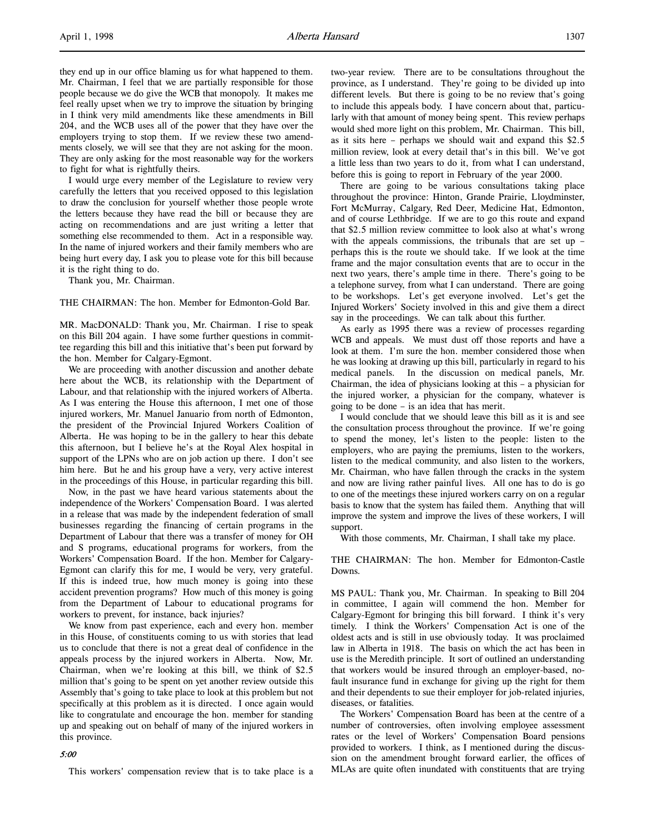they end up in our office blaming us for what happened to them. Mr. Chairman, I feel that we are partially responsible for those people because we do give the WCB that monopoly. It makes me feel really upset when we try to improve the situation by bringing in I think very mild amendments like these amendments in Bill 204, and the WCB uses all of the power that they have over the employers trying to stop them. If we review these two amendments closely, we will see that they are not asking for the moon. They are only asking for the most reasonable way for the workers to fight for what is rightfully theirs.

I would urge every member of the Legislature to review very carefully the letters that you received opposed to this legislation to draw the conclusion for yourself whether those people wrote the letters because they have read the bill or because they are acting on recommendations and are just writing a letter that something else recommended to them. Act in a responsible way. In the name of injured workers and their family members who are being hurt every day, I ask you to please vote for this bill because it is the right thing to do.

Thank you, Mr. Chairman.

THE CHAIRMAN: The hon. Member for Edmonton-Gold Bar.

MR. MacDONALD: Thank you, Mr. Chairman. I rise to speak on this Bill 204 again. I have some further questions in committee regarding this bill and this initiative that's been put forward by the hon. Member for Calgary-Egmont.

We are proceeding with another discussion and another debate here about the WCB, its relationship with the Department of Labour, and that relationship with the injured workers of Alberta. As I was entering the House this afternoon, I met one of those injured workers, Mr. Manuel Januario from north of Edmonton, the president of the Provincial Injured Workers Coalition of Alberta. He was hoping to be in the gallery to hear this debate this afternoon, but I believe he's at the Royal Alex hospital in support of the LPNs who are on job action up there. I don't see him here. But he and his group have a very, very active interest in the proceedings of this House, in particular regarding this bill.

Now, in the past we have heard various statements about the independence of the Workers' Compensation Board. I was alerted in a release that was made by the independent federation of small businesses regarding the financing of certain programs in the Department of Labour that there was a transfer of money for OH and S programs, educational programs for workers, from the Workers' Compensation Board. If the hon. Member for Calgary-Egmont can clarify this for me, I would be very, very grateful. If this is indeed true, how much money is going into these accident prevention programs? How much of this money is going from the Department of Labour to educational programs for workers to prevent, for instance, back injuries?

We know from past experience, each and every hon. member in this House, of constituents coming to us with stories that lead us to conclude that there is not a great deal of confidence in the appeals process by the injured workers in Alberta. Now, Mr. Chairman, when we're looking at this bill, we think of \$2.5 million that's going to be spent on yet another review outside this Assembly that's going to take place to look at this problem but not specifically at this problem as it is directed. I once again would like to congratulate and encourage the hon. member for standing up and speaking out on behalf of many of the injured workers in this province.

#### 5:00

This workers' compensation review that is to take place is a

two-year review. There are to be consultations throughout the province, as I understand. They're going to be divided up into different levels. But there is going to be no review that's going to include this appeals body. I have concern about that, particularly with that amount of money being spent. This review perhaps would shed more light on this problem, Mr. Chairman. This bill, as it sits here – perhaps we should wait and expand this \$2.5 million review, look at every detail that's in this bill. We've got a little less than two years to do it, from what I can understand, before this is going to report in February of the year 2000.

There are going to be various consultations taking place throughout the province: Hinton, Grande Prairie, Lloydminster, Fort McMurray, Calgary, Red Deer, Medicine Hat, Edmonton, and of course Lethbridge. If we are to go this route and expand that \$2.5 million review committee to look also at what's wrong with the appeals commissions, the tribunals that are set up – perhaps this is the route we should take. If we look at the time frame and the major consultation events that are to occur in the next two years, there's ample time in there. There's going to be a telephone survey, from what I can understand. There are going to be workshops. Let's get everyone involved. Let's get the Injured Workers' Society involved in this and give them a direct say in the proceedings. We can talk about this further.

As early as 1995 there was a review of processes regarding WCB and appeals. We must dust off those reports and have a look at them. I'm sure the hon. member considered those when he was looking at drawing up this bill, particularly in regard to his medical panels. In the discussion on medical panels, Mr. Chairman, the idea of physicians looking at this – a physician for the injured worker, a physician for the company, whatever is going to be done – is an idea that has merit.

I would conclude that we should leave this bill as it is and see the consultation process throughout the province. If we're going to spend the money, let's listen to the people: listen to the employers, who are paying the premiums, listen to the workers, listen to the medical community, and also listen to the workers, Mr. Chairman, who have fallen through the cracks in the system and now are living rather painful lives. All one has to do is go to one of the meetings these injured workers carry on on a regular basis to know that the system has failed them. Anything that will improve the system and improve the lives of these workers, I will support.

With those comments, Mr. Chairman, I shall take my place.

THE CHAIRMAN: The hon. Member for Edmonton-Castle Downs.

MS PAUL: Thank you, Mr. Chairman. In speaking to Bill 204 in committee, I again will commend the hon. Member for Calgary-Egmont for bringing this bill forward. I think it's very timely. I think the Workers' Compensation Act is one of the oldest acts and is still in use obviously today. It was proclaimed law in Alberta in 1918. The basis on which the act has been in use is the Meredith principle. It sort of outlined an understanding that workers would be insured through an employer-based, nofault insurance fund in exchange for giving up the right for them and their dependents to sue their employer for job-related injuries, diseases, or fatalities.

The Workers' Compensation Board has been at the centre of a number of controversies, often involving employee assessment rates or the level of Workers' Compensation Board pensions provided to workers. I think, as I mentioned during the discussion on the amendment brought forward earlier, the offices of MLAs are quite often inundated with constituents that are trying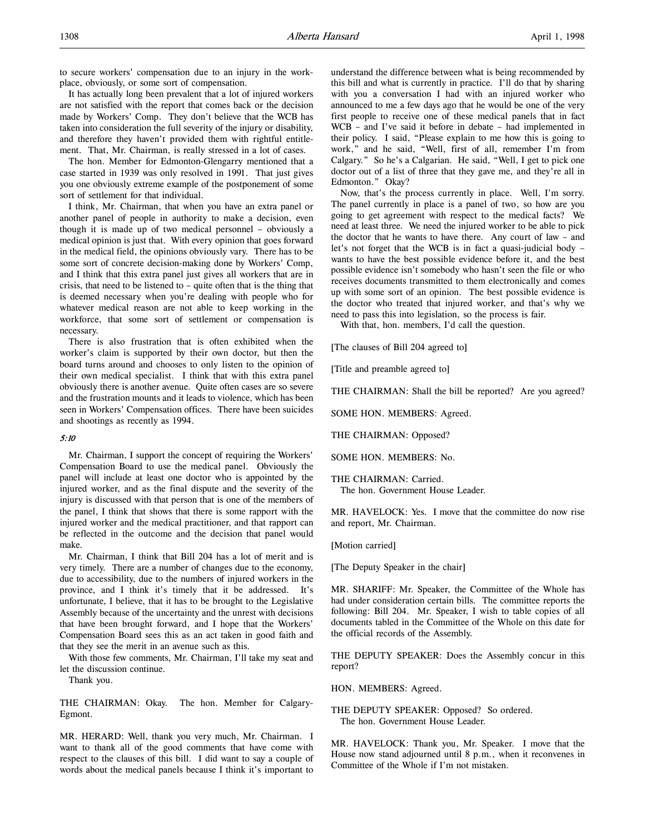to secure workers' compensation due to an injury in the workplace, obviously, or some sort of compensation.

It has actually long been prevalent that a lot of injured workers are not satisfied with the report that comes back or the decision made by Workers' Comp. They don't believe that the WCB has taken into consideration the full severity of the injury or disability, and therefore they haven't provided them with rightful entitlement. That, Mr. Chairman, is really stressed in a lot of cases.

The hon. Member for Edmonton-Glengarry mentioned that a case started in 1939 was only resolved in 1991. That just gives you one obviously extreme example of the postponement of some sort of settlement for that individual.

I think, Mr. Chairman, that when you have an extra panel or another panel of people in authority to make a decision, even though it is made up of two medical personnel – obviously a medical opinion is just that. With every opinion that goes forward in the medical field, the opinions obviously vary. There has to be some sort of concrete decision-making done by Workers' Comp, and I think that this extra panel just gives all workers that are in crisis, that need to be listened to – quite often that is the thing that is deemed necessary when you're dealing with people who for whatever medical reason are not able to keep working in the workforce, that some sort of settlement or compensation is necessary.

There is also frustration that is often exhibited when the worker's claim is supported by their own doctor, but then the board turns around and chooses to only listen to the opinion of their own medical specialist. I think that with this extra panel obviously there is another avenue. Quite often cases are so severe and the frustration mounts and it leads to violence, which has been seen in Workers' Compensation offices. There have been suicides and shootings as recently as 1994.

#### 5:10

Mr. Chairman, I support the concept of requiring the Workers' Compensation Board to use the medical panel. Obviously the panel will include at least one doctor who is appointed by the injured worker, and as the final dispute and the severity of the injury is discussed with that person that is one of the members of the panel, I think that shows that there is some rapport with the injured worker and the medical practitioner, and that rapport can be reflected in the outcome and the decision that panel would make.

Mr. Chairman, I think that Bill 204 has a lot of merit and is very timely. There are a number of changes due to the economy, due to accessibility, due to the numbers of injured workers in the province, and I think it's timely that it be addressed. It's unfortunate, I believe, that it has to be brought to the Legislative Assembly because of the uncertainty and the unrest with decisions that have been brought forward, and I hope that the Workers' Compensation Board sees this as an act taken in good faith and that they see the merit in an avenue such as this.

With those few comments, Mr. Chairman, I'll take my seat and let the discussion continue.

Thank you.

THE CHAIRMAN: Okay. The hon. Member for Calgary-Egmont.

MR. HERARD: Well, thank you very much, Mr. Chairman. I want to thank all of the good comments that have come with respect to the clauses of this bill. I did want to say a couple of words about the medical panels because I think it's important to

understand the difference between what is being recommended by this bill and what is currently in practice. I'll do that by sharing with you a conversation I had with an injured worker who announced to me a few days ago that he would be one of the very first people to receive one of these medical panels that in fact WCB – and I've said it before in debate – had implemented in their policy. I said, "Please explain to me how this is going to work," and he said, "Well, first of all, remember I'm from Calgary." So he's a Calgarian. He said, "Well, I get to pick one doctor out of a list of three that they gave me, and they're all in Edmonton." Okay?

Now, that's the process currently in place. Well, I'm sorry. The panel currently in place is a panel of two, so how are you going to get agreement with respect to the medical facts? We need at least three. We need the injured worker to be able to pick the doctor that he wants to have there. Any court of law – and let's not forget that the WCB is in fact a quasi-judicial body – wants to have the best possible evidence before it, and the best possible evidence isn't somebody who hasn't seen the file or who receives documents transmitted to them electronically and comes up with some sort of an opinion. The best possible evidence is the doctor who treated that injured worker, and that's why we need to pass this into legislation, so the process is fair.

With that, hon. members, I'd call the question.

[The clauses of Bill 204 agreed to]

[Title and preamble agreed to]

THE CHAIRMAN: Shall the bill be reported? Are you agreed?

SOME HON. MEMBERS: Agreed.

THE CHAIRMAN: Opposed?

SOME HON. MEMBERS: No.

THE CHAIRMAN: Carried. The hon. Government House Leader.

MR. HAVELOCK: Yes. I move that the committee do now rise and report, Mr. Chairman.

[Motion carried]

[The Deputy Speaker in the chair]

MR. SHARIFF: Mr. Speaker, the Committee of the Whole has had under consideration certain bills. The committee reports the following: Bill 204. Mr. Speaker, I wish to table copies of all documents tabled in the Committee of the Whole on this date for the official records of the Assembly.

THE DEPUTY SPEAKER: Does the Assembly concur in this report?

HON. MEMBERS: Agreed.

THE DEPUTY SPEAKER: Opposed? So ordered. The hon. Government House Leader.

MR. HAVELOCK: Thank you, Mr. Speaker. I move that the House now stand adjourned until 8 p.m., when it reconvenes in Committee of the Whole if I'm not mistaken.